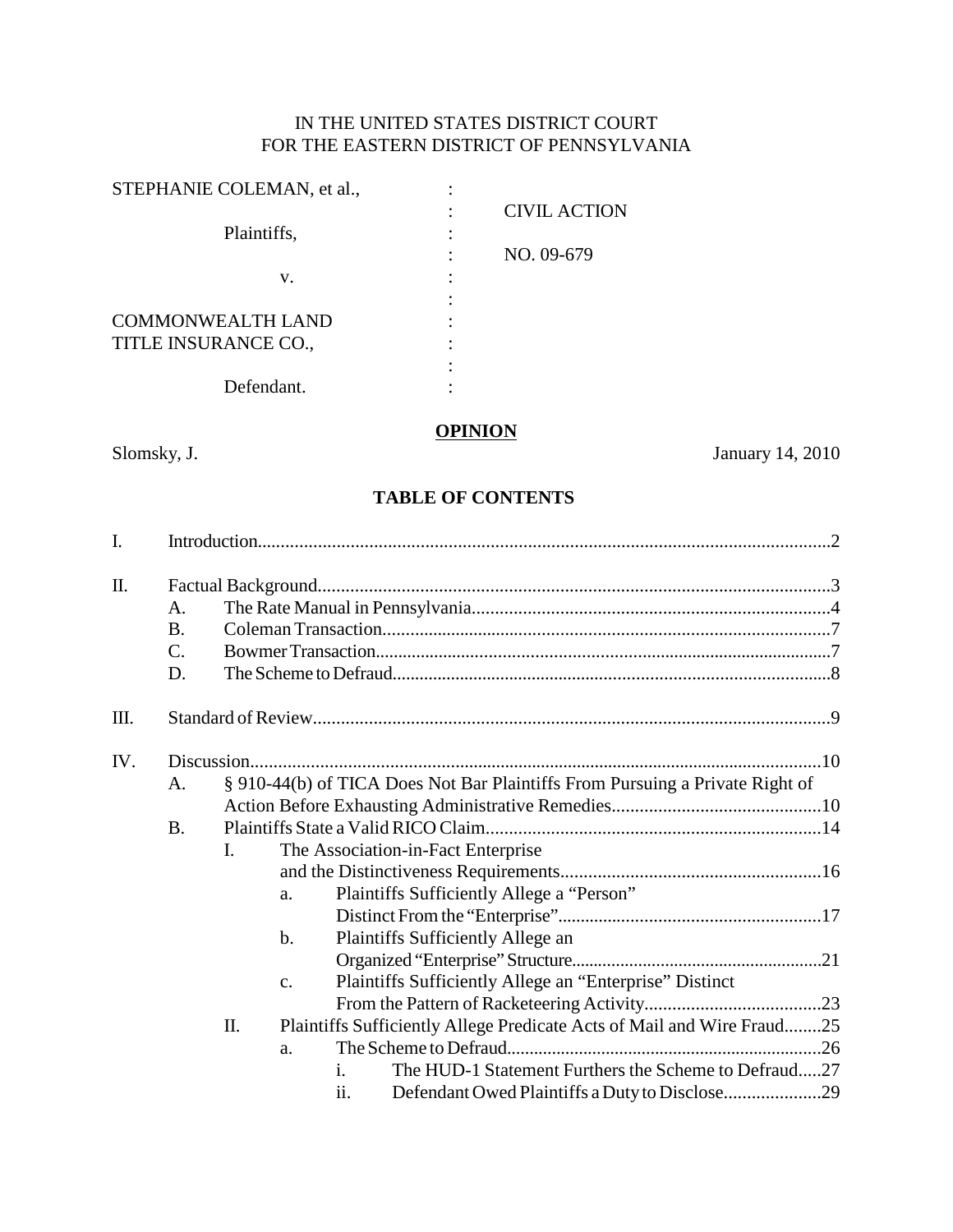# IN THE UNITED STATES DISTRICT COURT FOR THE EASTERN DISTRICT OF PENNSYLVANIA

| STEPHANIE COLEMAN, et al., |                     |
|----------------------------|---------------------|
|                            | <b>CIVIL ACTION</b> |
| Plaintiffs,                |                     |
|                            | NO. 09-679          |
| v.                         |                     |
|                            |                     |
| <b>COMMONWEALTH LAND</b>   |                     |
| TITLE INSURANCE CO.,       |                     |
|                            |                     |
| Defendant.                 |                     |
|                            |                     |

# **OPINION**

Slomsky, J. January 14, 2010

# **TABLE OF CONTENTS**

| I.  |                 |                                                                              |               |                |                                                                        |  |  |  |
|-----|-----------------|------------------------------------------------------------------------------|---------------|----------------|------------------------------------------------------------------------|--|--|--|
|     |                 |                                                                              |               |                |                                                                        |  |  |  |
| Π.  |                 |                                                                              |               |                |                                                                        |  |  |  |
|     | A.              |                                                                              |               |                |                                                                        |  |  |  |
|     | <b>B.</b>       |                                                                              |               |                |                                                                        |  |  |  |
|     | $\mathcal{C}$ . |                                                                              |               |                |                                                                        |  |  |  |
|     | D.              |                                                                              |               |                |                                                                        |  |  |  |
| Ш.  |                 |                                                                              |               |                |                                                                        |  |  |  |
| IV. |                 |                                                                              |               |                |                                                                        |  |  |  |
|     | A.              | § 910-44(b) of TICA Does Not Bar Plaintiffs From Pursuing a Private Right of |               |                |                                                                        |  |  |  |
|     |                 |                                                                              |               |                |                                                                        |  |  |  |
|     | <b>B.</b>       |                                                                              |               |                |                                                                        |  |  |  |
|     |                 | The Association-in-Fact Enterprise<br>I.                                     |               |                |                                                                        |  |  |  |
|     |                 |                                                                              |               |                |                                                                        |  |  |  |
|     |                 |                                                                              | a.            |                | Plaintiffs Sufficiently Allege a "Person"                              |  |  |  |
|     |                 |                                                                              |               |                |                                                                        |  |  |  |
|     |                 |                                                                              | b.            |                | Plaintiffs Sufficiently Allege an                                      |  |  |  |
|     |                 |                                                                              |               |                |                                                                        |  |  |  |
|     |                 |                                                                              |               |                |                                                                        |  |  |  |
|     |                 |                                                                              | $C_{\bullet}$ |                | Plaintiffs Sufficiently Allege an "Enterprise" Distinct                |  |  |  |
|     |                 |                                                                              |               |                |                                                                        |  |  |  |
|     |                 | Π.                                                                           |               |                | Plaintiffs Sufficiently Allege Predicate Acts of Mail and Wire Fraud25 |  |  |  |
|     |                 |                                                                              | a.            |                |                                                                        |  |  |  |
|     |                 |                                                                              |               | $\mathbf{i}$ . | The HUD-1 Statement Furthers the Scheme to Defraud27                   |  |  |  |
|     |                 |                                                                              |               | ii.            |                                                                        |  |  |  |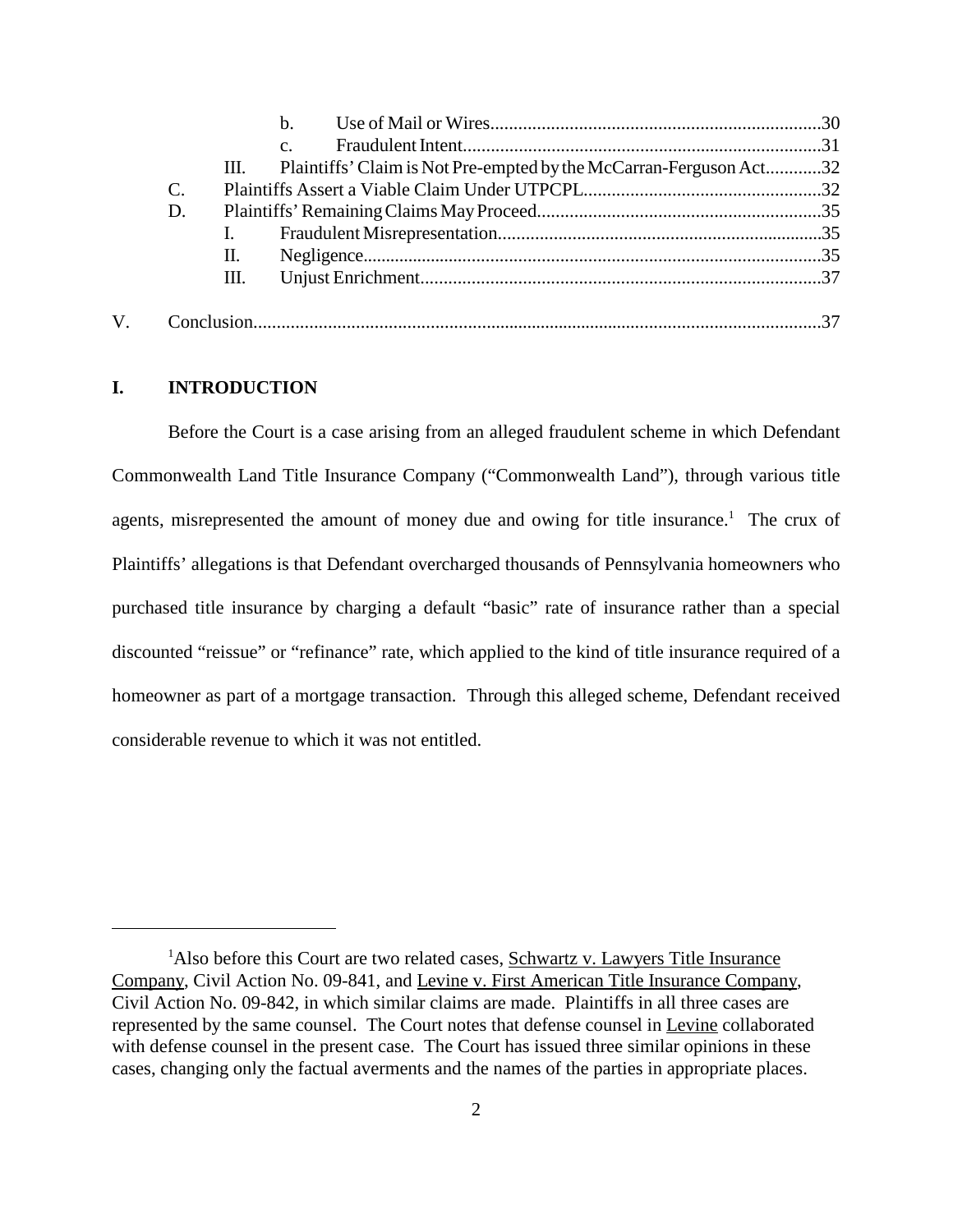|                |      | $h_{-}$                                                            |  |
|----------------|------|--------------------------------------------------------------------|--|
|                |      | C <sub>1</sub>                                                     |  |
|                | III. | Plaintiffs' Claim is Not Pre-empted by the McCarran-Ferguson Act32 |  |
| $\mathbf{C}$ . |      |                                                                    |  |
| D.             |      |                                                                    |  |
|                |      |                                                                    |  |
|                | П.   |                                                                    |  |
|                | Ш.   |                                                                    |  |
|                |      |                                                                    |  |
|                |      |                                                                    |  |
|                |      |                                                                    |  |

### **I. INTRODUCTION**

Before the Court is a case arising from an alleged fraudulent scheme in which Defendant Commonwealth Land Title Insurance Company ("Commonwealth Land"), through various title agents, misrepresented the amount of money due and owing for title insurance.<sup>1</sup> The crux of Plaintiffs' allegations is that Defendant overcharged thousands of Pennsylvania homeowners who purchased title insurance by charging a default "basic" rate of insurance rather than a special discounted "reissue" or "refinance" rate, which applied to the kind of title insurance required of a homeowner as part of a mortgage transaction. Through this alleged scheme, Defendant received considerable revenue to which it was not entitled.

<sup>&</sup>lt;sup>1</sup>Also before this Court are two related cases, Schwartz v. Lawyers Title Insurance Company, Civil Action No. 09-841, and Levine v. First American Title Insurance Company, Civil Action No. 09-842, in which similar claims are made. Plaintiffs in all three cases are represented by the same counsel. The Court notes that defense counsel in Levine collaborated with defense counsel in the present case. The Court has issued three similar opinions in these cases, changing only the factual averments and the names of the parties in appropriate places.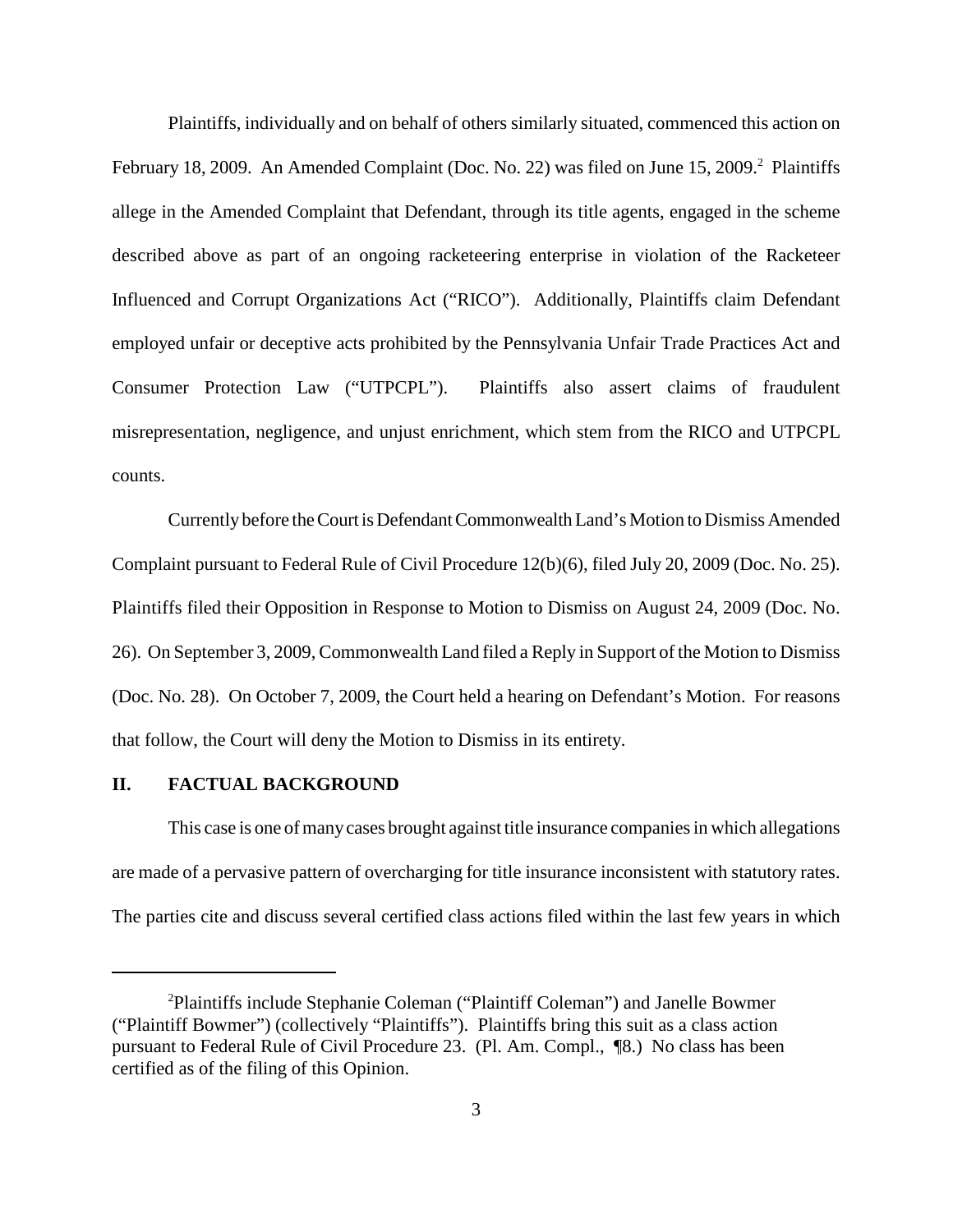Plaintiffs, individually and on behalf of others similarly situated, commenced this action on February 18, 2009. An Amended Complaint (Doc. No. 22) was filed on June 15, 2009.<sup>2</sup> Plaintiffs allege in the Amended Complaint that Defendant, through its title agents, engaged in the scheme described above as part of an ongoing racketeering enterprise in violation of the Racketeer Influenced and Corrupt Organizations Act ("RICO"). Additionally, Plaintiffs claim Defendant employed unfair or deceptive acts prohibited by the Pennsylvania Unfair Trade Practices Act and Consumer Protection Law ("UTPCPL"). Plaintiffs also assert claims of fraudulent misrepresentation, negligence, and unjust enrichment, which stem from the RICO and UTPCPL counts.

Currentlybefore theCourt isDefendantCommonwealthLand's Motion to Dismiss Amended Complaint pursuant to Federal Rule of Civil Procedure 12(b)(6), filed July 20, 2009 (Doc. No. 25). Plaintiffs filed their Opposition in Response to Motion to Dismiss on August 24, 2009 (Doc. No. 26). On September 3, 2009, Commonwealth Land filed a Reply in Support of the Motion to Dismiss (Doc. No. 28). On October 7, 2009, the Court held a hearing on Defendant's Motion. For reasons that follow, the Court will deny the Motion to Dismiss in its entirety.

### **II. FACTUAL BACKGROUND**

This case is one of many cases brought against title insurance companies in which allegations are made of a pervasive pattern of overcharging for title insurance inconsistent with statutory rates. The parties cite and discuss several certified class actions filed within the last few years in which

<sup>&</sup>lt;sup>2</sup>Plaintiffs include Stephanie Coleman ("Plaintiff Coleman") and Janelle Bowmer ("Plaintiff Bowmer") (collectively "Plaintiffs"). Plaintiffs bring this suit as a class action pursuant to Federal Rule of Civil Procedure 23. (Pl. Am. Compl., ¶8.) No class has been certified as of the filing of this Opinion.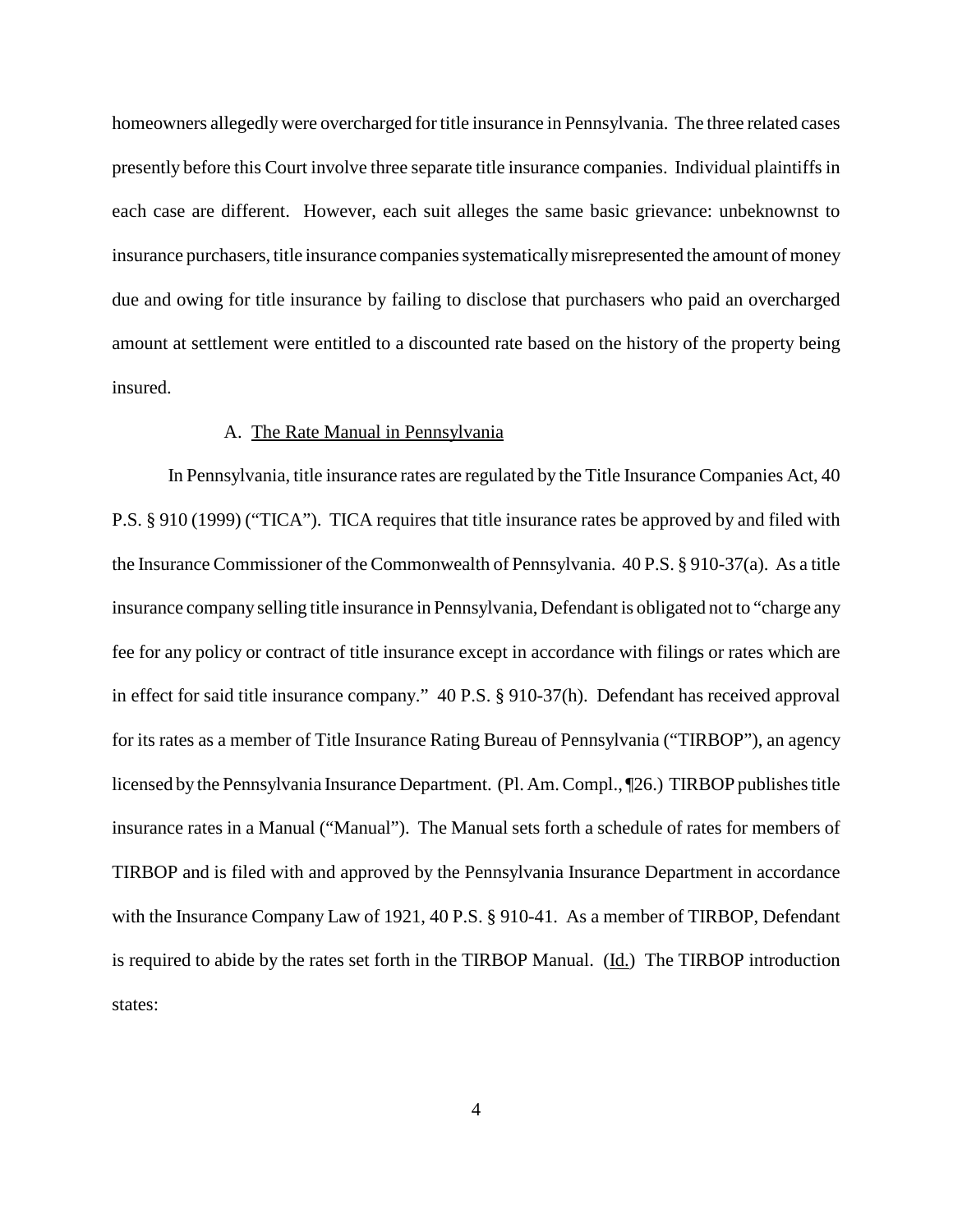homeowners allegedly were overcharged for title insurance in Pennsylvania. The three related cases presently before this Court involve three separate title insurance companies. Individual plaintiffsin each case are different. However, each suit alleges the same basic grievance: unbeknownst to insurance purchasers, title insurance companies systematically misrepresented the amount of money due and owing for title insurance by failing to disclose that purchasers who paid an overcharged amount at settlement were entitled to a discounted rate based on the history of the property being insured.

### A. The Rate Manual in Pennsylvania

In Pennsylvania, title insurance rates are regulated by the Title Insurance Companies Act, 40 P.S. § 910 (1999) ("TICA"). TICA requires that title insurance rates be approved by and filed with the Insurance Commissioner of the Commonwealth of Pennsylvania. 40 P.S. § 910-37(a). As a title insurance company selling title insurance in Pennsylvania, Defendant is obligated not to "charge any fee for any policy or contract of title insurance except in accordance with filings or rates which are in effect for said title insurance company." 40 P.S. § 910-37(h). Defendant has received approval for its rates as a member of Title Insurance Rating Bureau of Pennsylvania ("TIRBOP"), an agency licensed by the Pennsylvania Insurance Department. (Pl. Am.Compl., ¶26.) TIRBOP publishestitle insurance rates in a Manual ("Manual"). The Manual sets forth a schedule of rates for members of TIRBOP and is filed with and approved by the Pennsylvania Insurance Department in accordance with the Insurance Company Law of 1921, 40 P.S. § 910-41. As a member of TIRBOP, Defendant is required to abide by the rates set forth in the TIRBOP Manual. (Id.) The TIRBOP introduction states: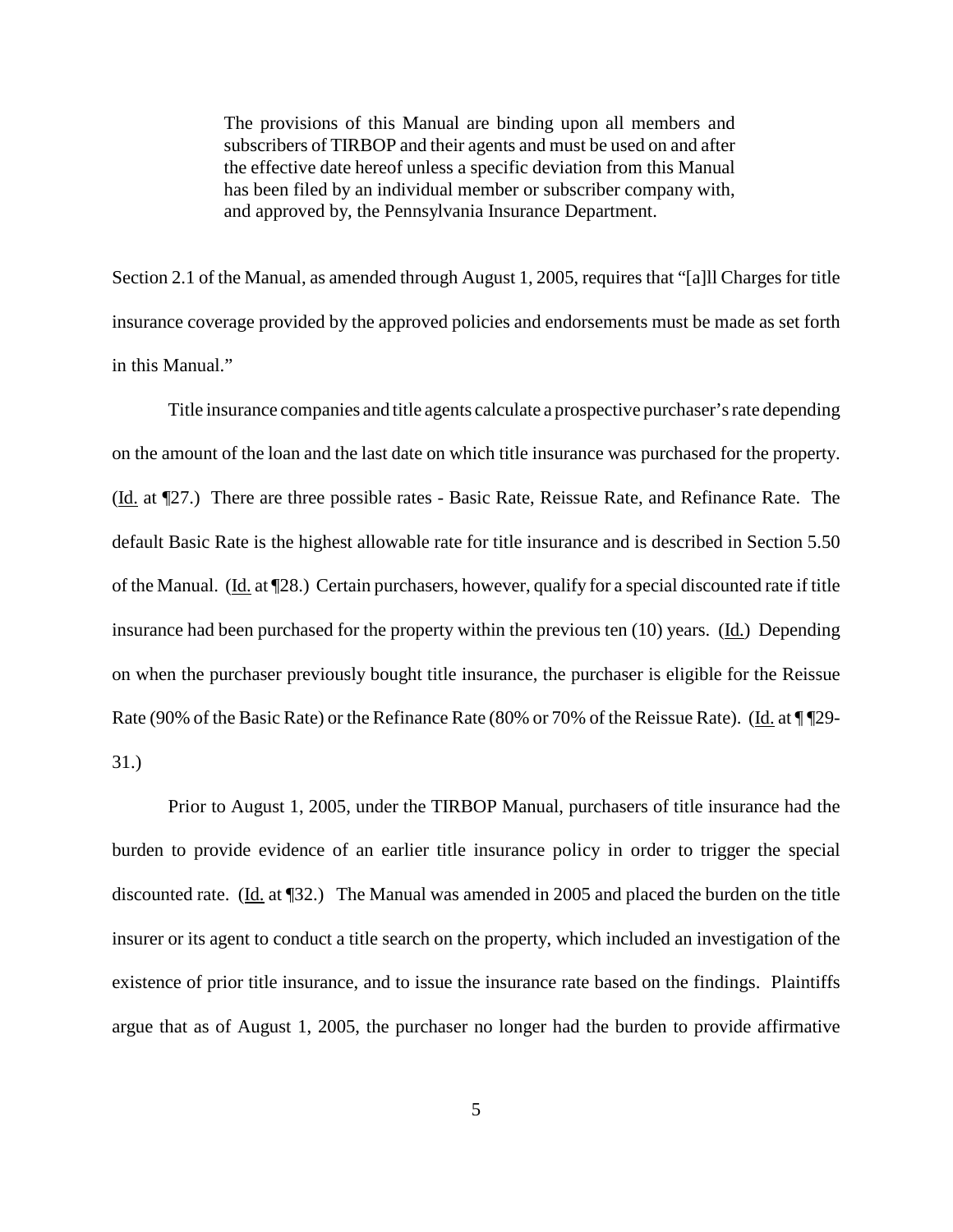The provisions of this Manual are binding upon all members and subscribers of TIRBOP and their agents and must be used on and after the effective date hereof unless a specific deviation from this Manual has been filed by an individual member or subscriber company with, and approved by, the Pennsylvania Insurance Department.

Section 2.1 of the Manual, as amended through August 1, 2005, requires that "[a]ll Charges for title insurance coverage provided by the approved policies and endorsements must be made as set forth in this Manual."

Title insurance companies and title agents calculate a prospective purchaser'srate depending on the amount of the loan and the last date on which title insurance was purchased for the property. (Id. at ¶27.) There are three possible rates - Basic Rate, Reissue Rate, and Refinance Rate. The default Basic Rate is the highest allowable rate for title insurance and is described in Section 5.50 of the Manual. (Id. at ¶28.) Certain purchasers, however, qualify for a special discounted rate if title insurance had been purchased for the property within the previous ten  $(10)$  years.  $(\underline{Id})$  Depending on when the purchaser previously bought title insurance, the purchaser is eligible for the Reissue Rate (90% of the Basic Rate) or the Refinance Rate (80% or 70% of the Reissue Rate). (Id. at \[\mudde \] 29-31.)

Prior to August 1, 2005, under the TIRBOP Manual, purchasers of title insurance had the burden to provide evidence of an earlier title insurance policy in order to trigger the special discounted rate. (Id. at [32.) The Manual was amended in 2005 and placed the burden on the title insurer or its agent to conduct a title search on the property, which included an investigation of the existence of prior title insurance, and to issue the insurance rate based on the findings. Plaintiffs argue that as of August 1, 2005, the purchaser no longer had the burden to provide affirmative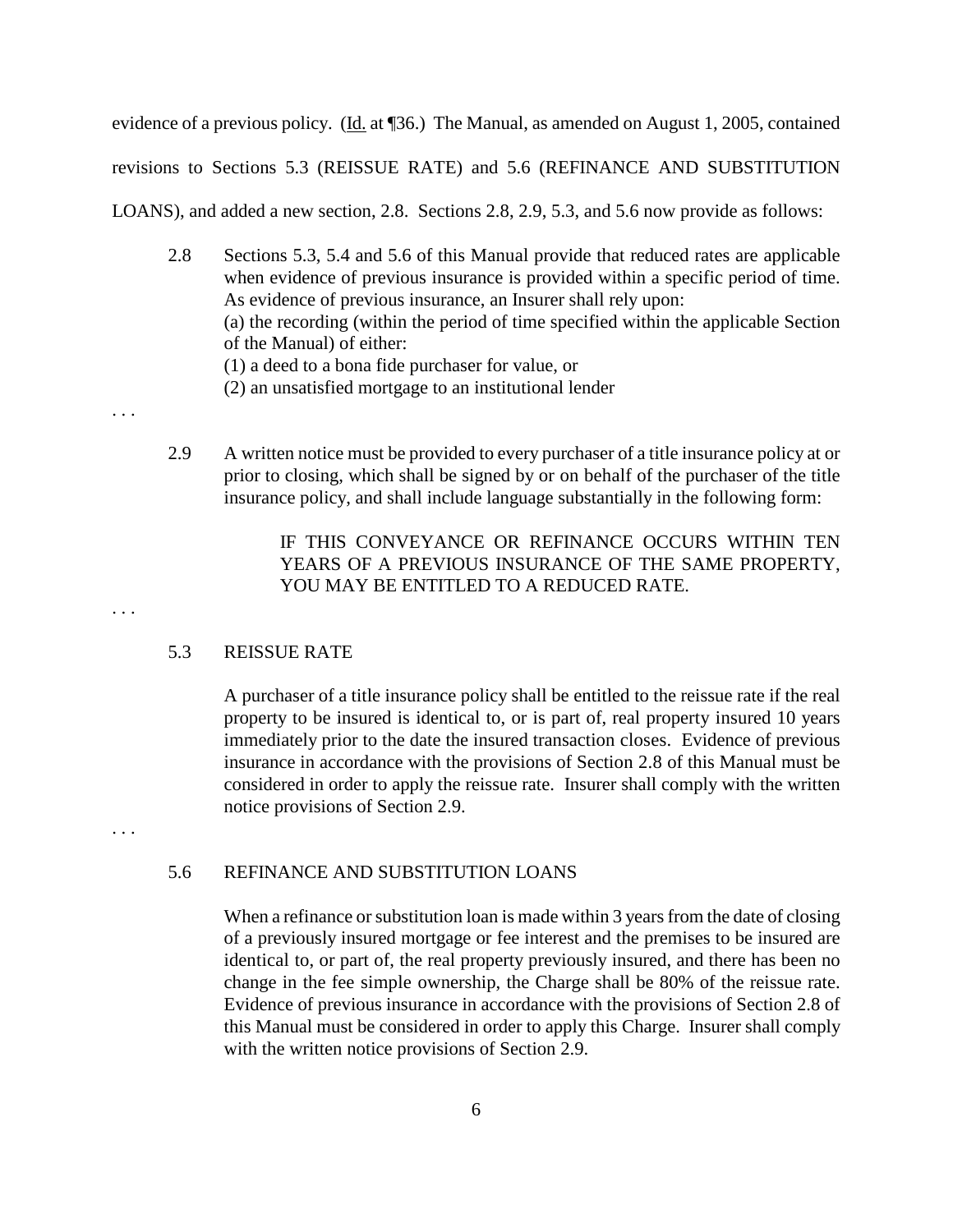evidence of a previous policy. (Id. at 136.) The Manual, as amended on August 1, 2005, contained revisions to Sections 5.3 (REISSUE RATE) and 5.6 (REFINANCE AND SUBSTITUTION LOANS), and added a new section, 2.8. Sections 2.8, 2.9, 5.3, and 5.6 now provide as follows:

- 2.8 Sections 5.3, 5.4 and 5.6 of this Manual provide that reduced rates are applicable when evidence of previous insurance is provided within a specific period of time. As evidence of previous insurance, an Insurer shall rely upon: (a) the recording (within the period of time specified within the applicable Section of the Manual) of either: (1) a deed to a bona fide purchaser for value, or (2) an unsatisfied mortgage to an institutional lender
- 2.9 A written notice must be provided to every purchaser of a title insurance policy at or prior to closing, which shall be signed by or on behalf of the purchaser of the title insurance policy, and shall include language substantially in the following form:

# IF THIS CONVEYANCE OR REFINANCE OCCURS WITHIN TEN YEARS OF A PREVIOUS INSURANCE OF THE SAME PROPERTY, YOU MAY BE ENTITLED TO A REDUCED RATE.

### 5.3 REISSUE RATE

A purchaser of a title insurance policy shall be entitled to the reissue rate if the real property to be insured is identical to, or is part of, real property insured 10 years immediately prior to the date the insured transaction closes. Evidence of previous insurance in accordance with the provisions of Section 2.8 of this Manual must be considered in order to apply the reissue rate. Insurer shall comply with the written notice provisions of Section 2.9.

. . .

. . .

. . .

### 5.6 REFINANCE AND SUBSTITUTION LOANS

When a refinance or substitution loan is made within 3 years from the date of closing of a previously insured mortgage or fee interest and the premises to be insured are identical to, or part of, the real property previously insured, and there has been no change in the fee simple ownership, the Charge shall be 80% of the reissue rate. Evidence of previous insurance in accordance with the provisions of Section 2.8 of this Manual must be considered in order to apply this Charge. Insurer shall comply with the written notice provisions of Section 2.9.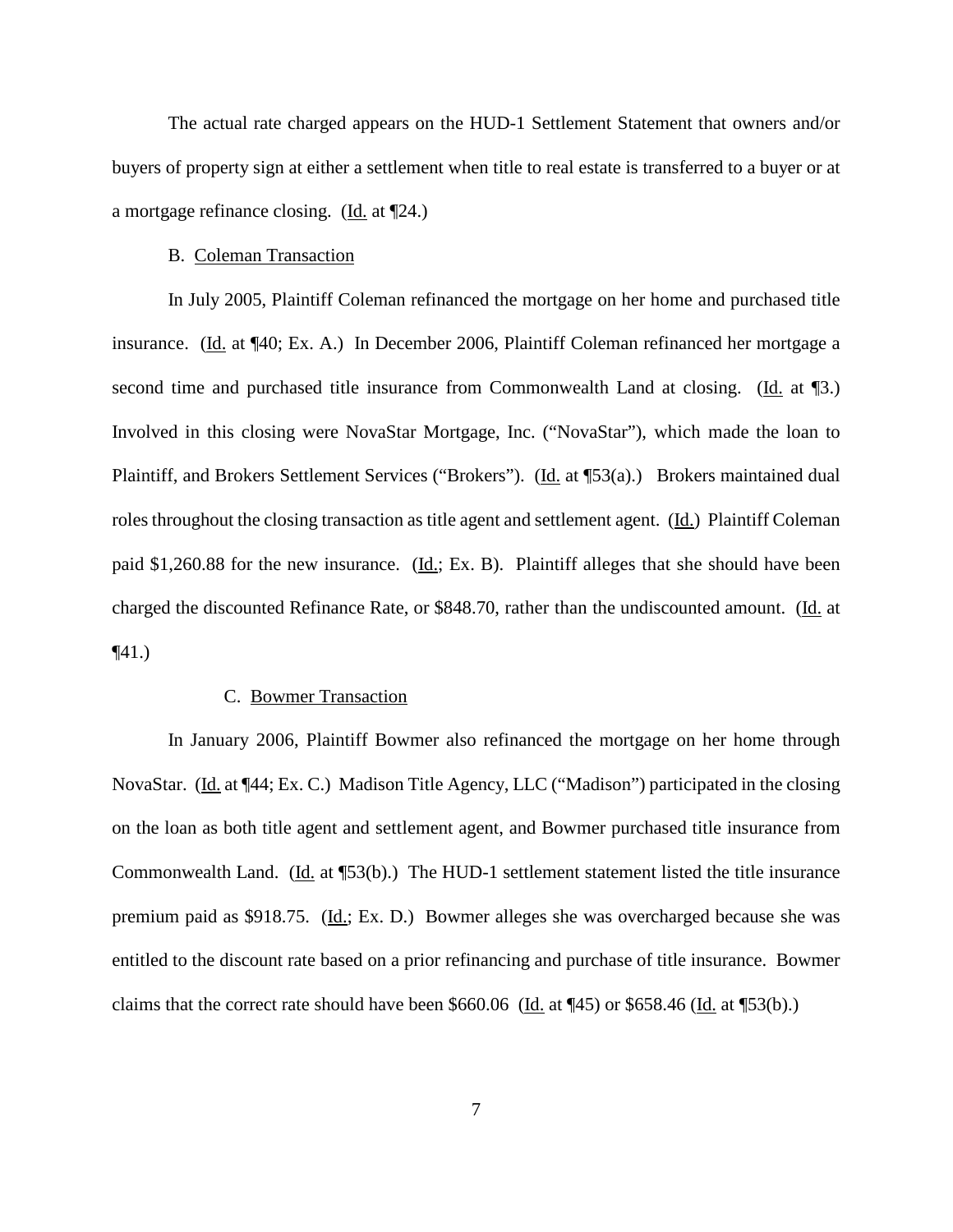The actual rate charged appears on the HUD-1 Settlement Statement that owners and/or buyers of property sign at either a settlement when title to real estate is transferred to a buyer or at a mortgage refinance closing. (Id. at ¶24.)

### B. Coleman Transaction

In July 2005, Plaintiff Coleman refinanced the mortgage on her home and purchased title insurance. (Id. at ¶40; Ex. A.) In December 2006, Plaintiff Coleman refinanced her mortgage a second time and purchased title insurance from Commonwealth Land at closing. (Id. at ¶3.) Involved in this closing were NovaStar Mortgage, Inc. ("NovaStar"), which made the loan to Plaintiff, and Brokers Settlement Services ("Brokers"). (Id. at ¶53(a).) Brokers maintained dual roles throughout the closing transaction as title agent and settlement agent. (Id.) Plaintiff Coleman paid \$1,260.88 for the new insurance. (Id.; Ex. B). Plaintiff alleges that she should have been charged the discounted Refinance Rate, or \$848.70, rather than the undiscounted amount. (Id. at  $\P(41)$ 

### C. Bowmer Transaction

In January 2006, Plaintiff Bowmer also refinanced the mortgage on her home through NovaStar. (Id. at ¶44; Ex. C.) Madison Title Agency, LLC ("Madison") participated in the closing on the loan as both title agent and settlement agent, and Bowmer purchased title insurance from Commonwealth Land. (Id. at ¶53(b).) The HUD-1 settlement statement listed the title insurance premium paid as \$918.75. (Id.; Ex. D.) Bowmer alleges she was overcharged because she was entitled to the discount rate based on a prior refinancing and purchase of title insurance. Bowmer claims that the correct rate should have been \$660.06 ( $\underline{Id}$ , at  $\P(45)$  or \$658.46 ( $\underline{Id}$ , at  $\P(53(b))$ .)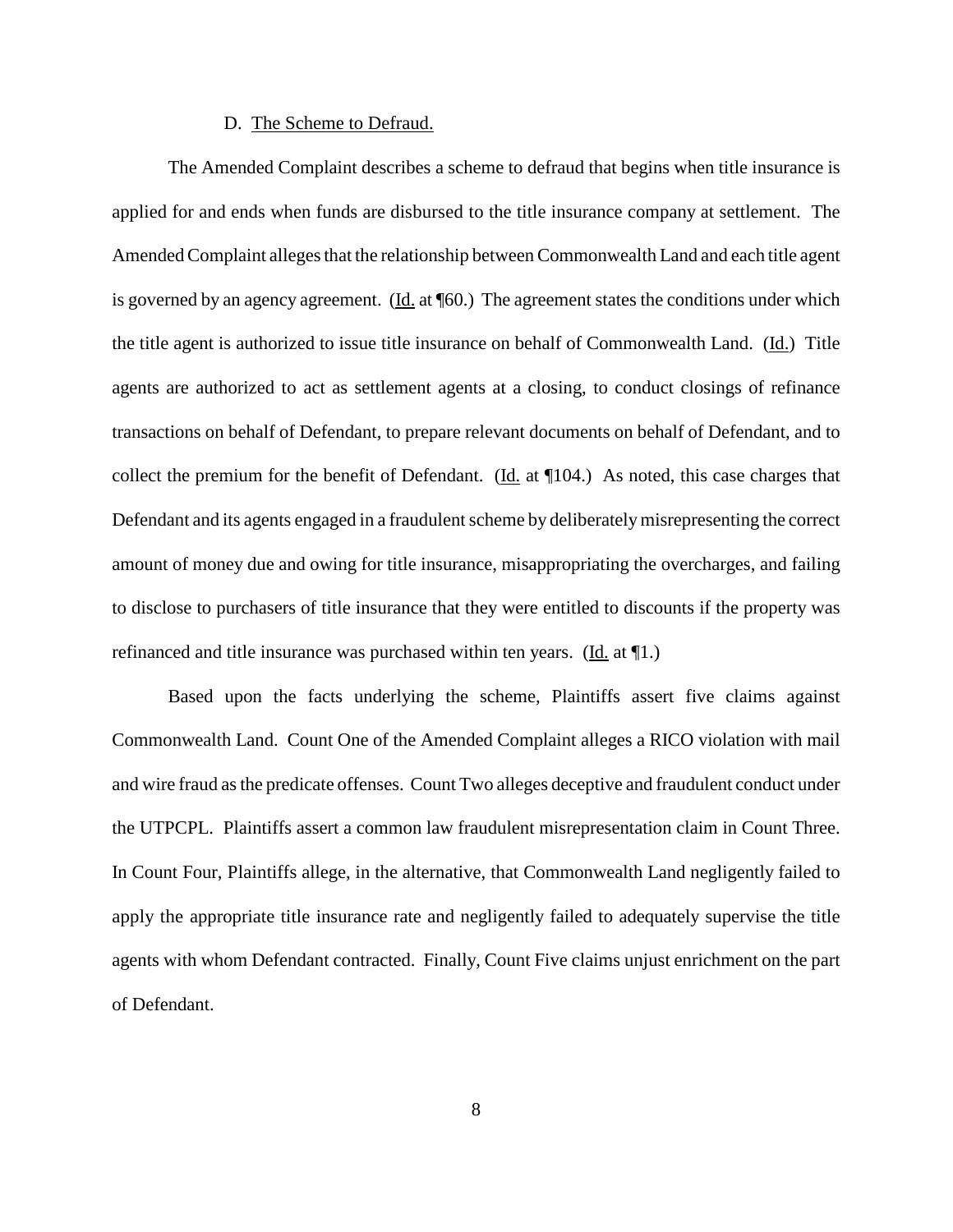#### D. The Scheme to Defraud.

The Amended Complaint describes a scheme to defraud that begins when title insurance is applied for and ends when funds are disbursed to the title insurance company at settlement. The Amended Complaint alleges that the relationship between Commonwealth Land and each title agent is governed by an agency agreement. ( $\underline{Id}$ , at  $\P$ 60.) The agreement states the conditions under which the title agent is authorized to issue title insurance on behalf of Commonwealth Land. (Id.) Title agents are authorized to act as settlement agents at a closing, to conduct closings of refinance transactions on behalf of Defendant, to prepare relevant documents on behalf of Defendant, and to collect the premium for the benefit of Defendant. (Id. at ¶104.) As noted, this case charges that Defendant and its agents engaged in a fraudulent scheme by deliberately misrepresenting the correct amount of money due and owing for title insurance, misappropriating the overcharges, and failing to disclose to purchasers of title insurance that they were entitled to discounts if the property was refinanced and title insurance was purchased within ten years. (Id. at ¶1.)

Based upon the facts underlying the scheme, Plaintiffs assert five claims against Commonwealth Land. Count One of the Amended Complaint alleges a RICO violation with mail and wire fraud asthe predicate offenses. Count Two alleges deceptive and fraudulent conduct under the UTPCPL. Plaintiffs assert a common law fraudulent misrepresentation claim in Count Three. In Count Four, Plaintiffs allege, in the alternative, that Commonwealth Land negligently failed to apply the appropriate title insurance rate and negligently failed to adequately supervise the title agents with whom Defendant contracted. Finally, Count Five claims unjust enrichment on the part of Defendant.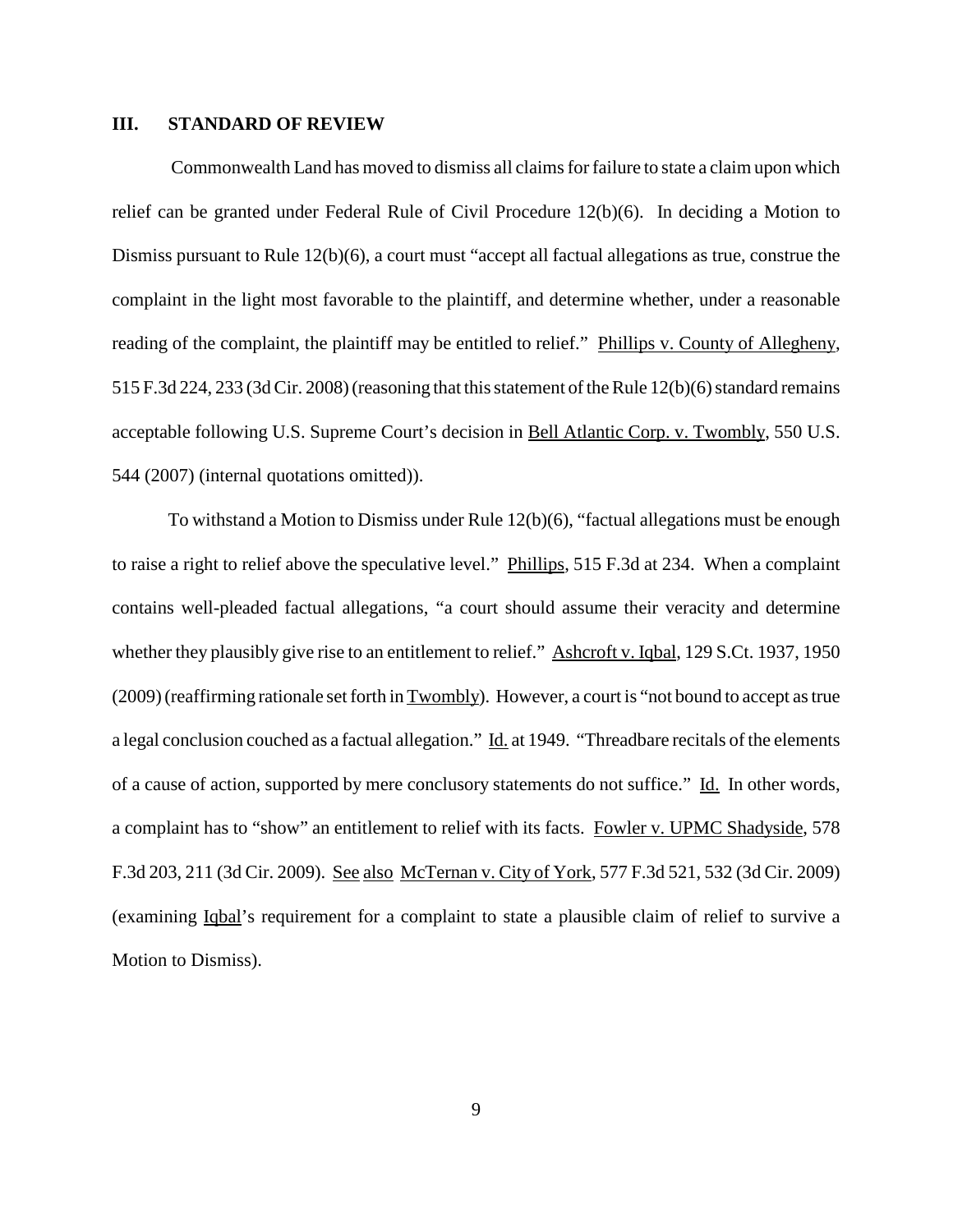### **III. STANDARD OF REVIEW**

Commonwealth Land has moved to dismiss all claimsfor failure to state a claim upon which relief can be granted under Federal Rule of Civil Procedure 12(b)(6). In deciding a Motion to Dismiss pursuant to Rule 12(b)(6), a court must "accept all factual allegations as true, construe the complaint in the light most favorable to the plaintiff, and determine whether, under a reasonable reading of the complaint, the plaintiff may be entitled to relief." Phillips v. County of Allegheny, 515 F.3d 224, 233 (3d Cir. 2008) (reasoning that this statement of the Rule  $12(b)(6)$  standard remains acceptable following U.S. Supreme Court's decision in Bell Atlantic Corp. v. Twombly, 550 U.S. 544 (2007) (internal quotations omitted)).

To withstand a Motion to Dismiss under Rule 12(b)(6), "factual allegations must be enough to raise a right to relief above the speculative level." Phillips, 515 F.3d at 234. When a complaint contains well-pleaded factual allegations, "a court should assume their veracity and determine whether they plausibly give rise to an entitlement to relief." Ashcroft v. Iqbal, 129 S.Ct. 1937, 1950 (2009)(reaffirming rationale setforth in Twombly). However, a court is "not bound to accept astrue a legal conclusion couched as a factual allegation." Id. at 1949. "Threadbare recitals of the elements of a cause of action, supported by mere conclusory statements do not suffice." Id. In other words, a complaint has to "show" an entitlement to relief with its facts. Fowler v. UPMC Shadyside, 578 F.3d 203, 211 (3d Cir. 2009). See also McTernan v. City of York, 577 F.3d 521, 532 (3d Cir. 2009) (examining Iqbal's requirement for a complaint to state a plausible claim of relief to survive a Motion to Dismiss).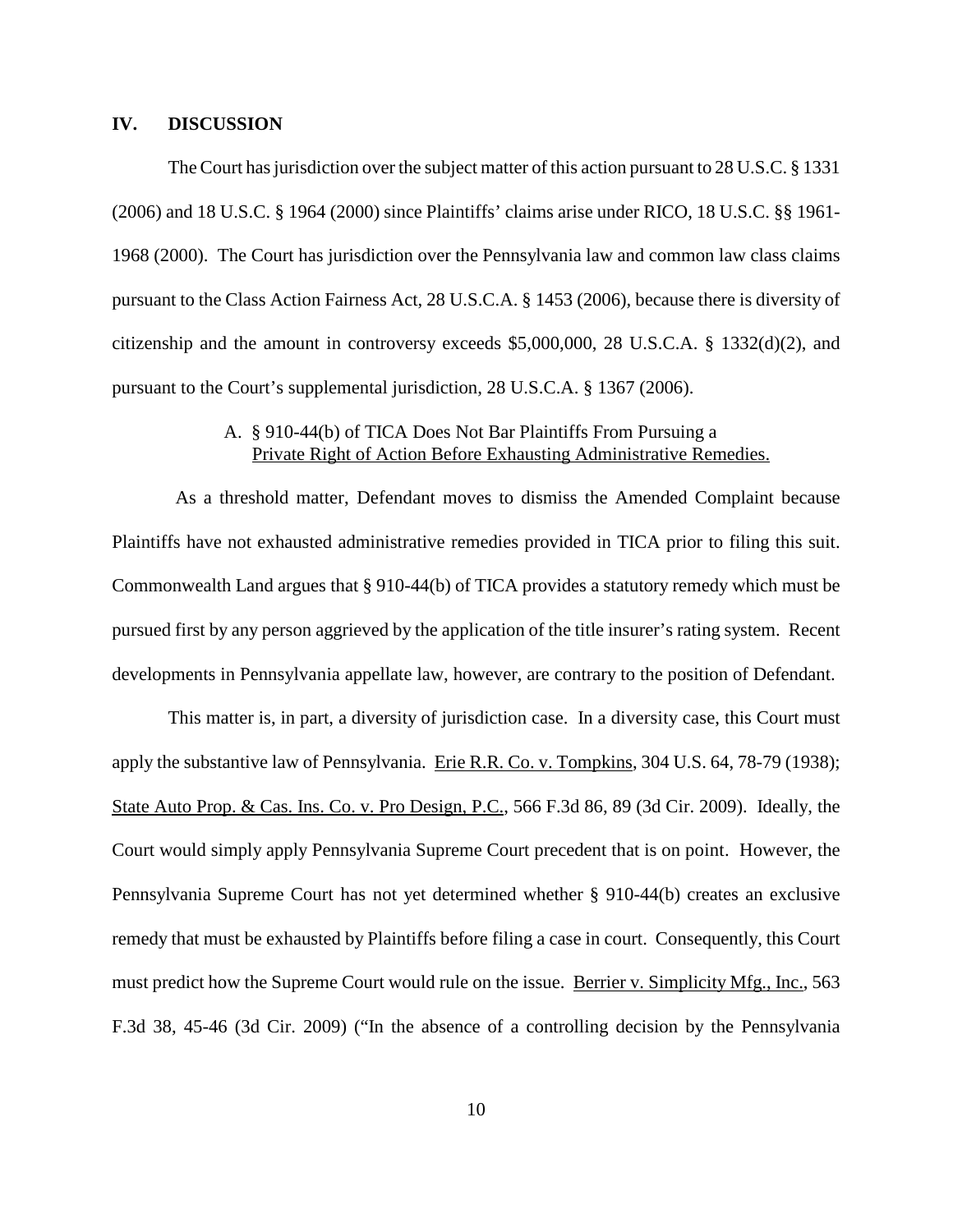### **IV. DISCUSSION**

The Court has jurisdiction over the subject matter of this action pursuant to 28 U.S.C.  $\S$  1331 (2006) and 18 U.S.C. § 1964 (2000) since Plaintiffs' claims arise under RICO, 18 U.S.C. §§ 1961- 1968 (2000). The Court has jurisdiction over the Pennsylvania law and common law class claims pursuant to the Class Action Fairness Act, 28 U.S.C.A. § 1453 (2006), because there is diversity of citizenship and the amount in controversy exceeds \$5,000,000, 28 U.S.C.A. § 1332(d)(2), and pursuant to the Court's supplemental jurisdiction, 28 U.S.C.A. § 1367 (2006).

# A. § 910-44(b) of TICA Does Not Bar Plaintiffs From Pursuing a Private Right of Action Before Exhausting Administrative Remedies.

As a threshold matter, Defendant moves to dismiss the Amended Complaint because Plaintiffs have not exhausted administrative remedies provided in TICA prior to filing this suit. Commonwealth Land argues that § 910-44(b) of TICA provides a statutory remedy which must be pursued first by any person aggrieved by the application of the title insurer's rating system. Recent developments in Pennsylvania appellate law, however, are contrary to the position of Defendant.

This matter is, in part, a diversity of jurisdiction case. In a diversity case, this Court must apply the substantive law of Pennsylvania. Erie R.R. Co. v. Tompkins, 304 U.S. 64, 78-79 (1938); State Auto Prop. & Cas. Ins. Co. v. Pro Design, P.C., 566 F.3d 86, 89 (3d Cir. 2009). Ideally, the Court would simply apply Pennsylvania Supreme Court precedent that is on point. However, the Pennsylvania Supreme Court has not yet determined whether § 910-44(b) creates an exclusive remedy that must be exhausted by Plaintiffs before filing a case in court. Consequently, this Court must predict how the Supreme Court would rule on the issue. Berrier v. Simplicity Mfg., Inc., 563 F.3d 38, 45-46 (3d Cir. 2009) ("In the absence of a controlling decision by the Pennsylvania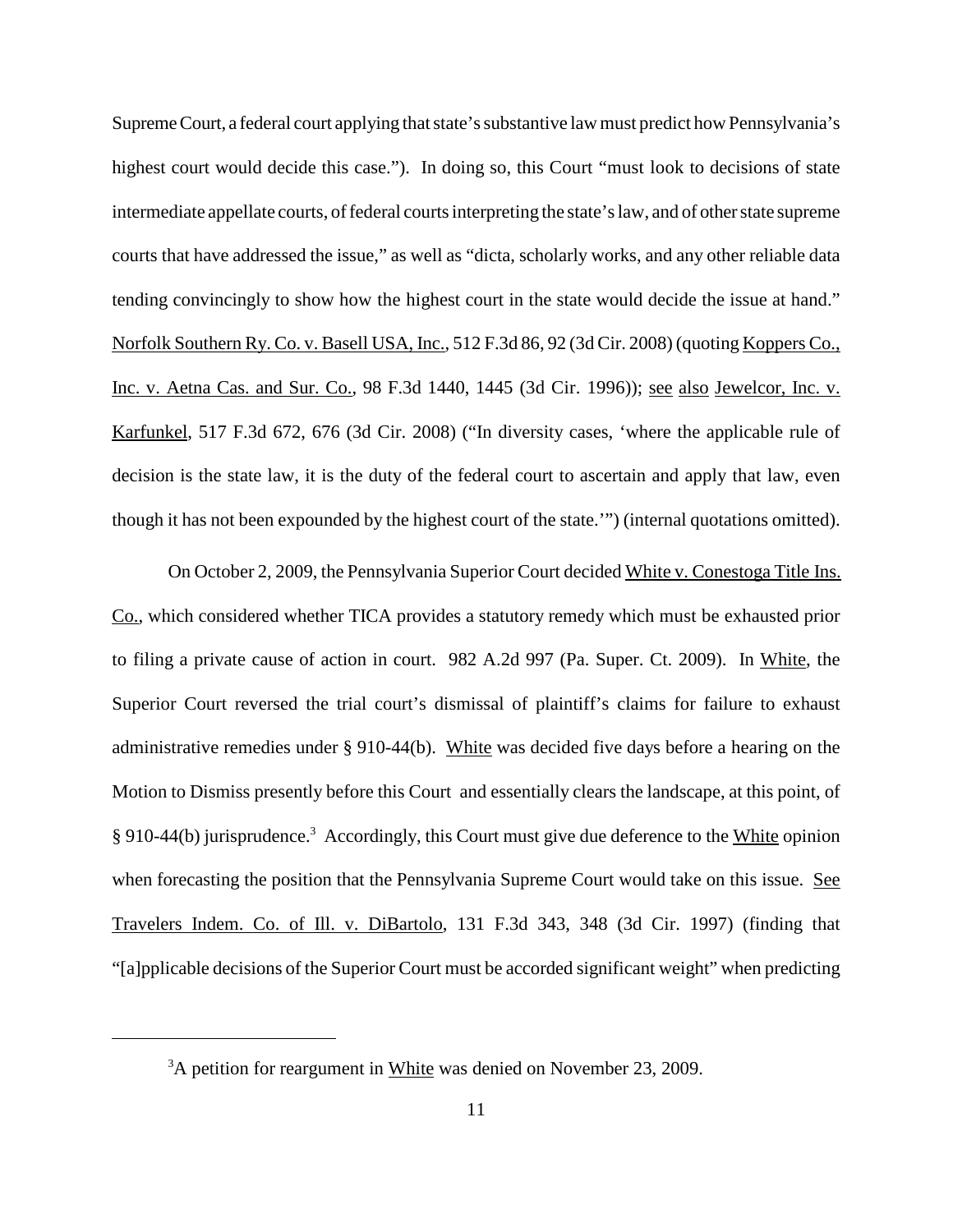Supreme Court, a federal court applying that state's substantive law must predict how Pennsylvania's highest court would decide this case."). In doing so, this Court "must look to decisions of state intermediate appellate courts, of federal courts interpreting the state's law, and of other state supreme courts that have addressed the issue," as well as "dicta, scholarly works, and any other reliable data tending convincingly to show how the highest court in the state would decide the issue at hand." Norfolk Southern Ry. Co. v. Basell USA, Inc., 512 F.3d 86, 92 (3d Cir. 2008) (quoting Koppers Co., Inc. v. Aetna Cas. and Sur. Co., 98 F.3d 1440, 1445 (3d Cir. 1996)); see also Jewelcor, Inc. v. Karfunkel, 517 F.3d 672, 676 (3d Cir. 2008) ("In diversity cases, 'where the applicable rule of decision is the state law, it is the duty of the federal court to ascertain and apply that law, even though it has not been expounded by the highest court of the state.'") (internal quotations omitted).

On October 2, 2009, the Pennsylvania Superior Court decided White v. Conestoga Title Ins. Co., which considered whether TICA provides a statutory remedy which must be exhausted prior to filing a private cause of action in court. 982 A.2d 997 (Pa. Super. Ct. 2009). In White, the Superior Court reversed the trial court's dismissal of plaintiff's claims for failure to exhaust administrative remedies under § 910-44(b). White was decided five days before a hearing on the Motion to Dismiss presently before this Court and essentially clears the landscape, at this point, of § 910-44(b) jurisprudence.<sup>3</sup> Accordingly, this Court must give due deference to the White opinion when forecasting the position that the Pennsylvania Supreme Court would take on this issue. See Travelers Indem. Co. of Ill. v. DiBartolo, 131 F.3d 343, 348 (3d Cir. 1997) (finding that "[a]pplicable decisions of the Superior Court must be accorded significant weight" when predicting

 $3A$  petition for reargument in White was denied on November 23, 2009.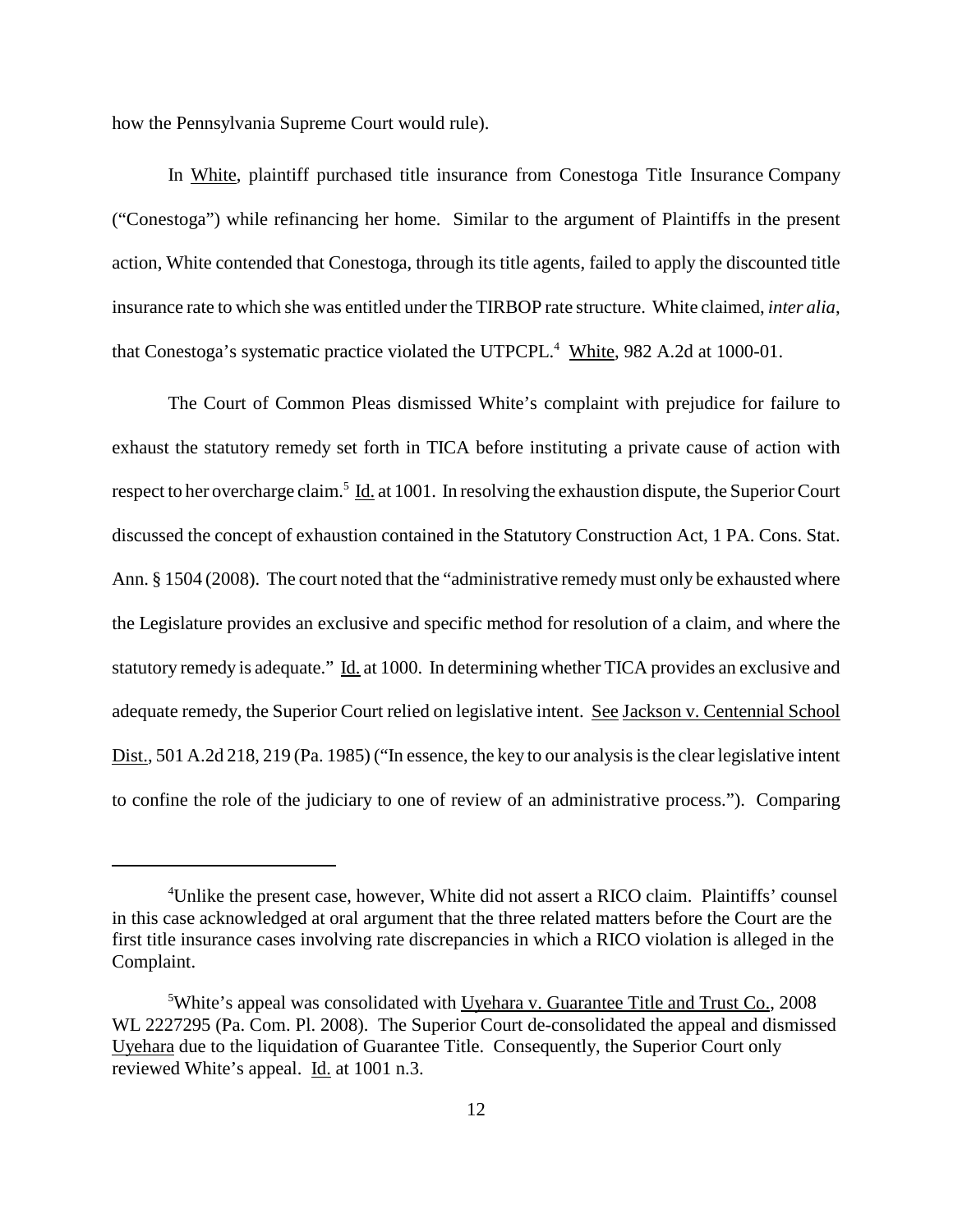how the Pennsylvania Supreme Court would rule).

In White, plaintiff purchased title insurance from Conestoga Title Insurance Company ("Conestoga") while refinancing her home. Similar to the argument of Plaintiffs in the present action, White contended that Conestoga, through its title agents, failed to apply the discounted title insurance rate to which she was entitled under the TIRBOP rate structure. White claimed, *inter alia*, that Conestoga's systematic practice violated the UTPCPL.<sup>4</sup> White, 982 A.2d at 1000-01.

The Court of Common Pleas dismissed White's complaint with prejudice for failure to exhaust the statutory remedy set forth in TICA before instituting a private cause of action with respect to her overcharge claim.<sup>5</sup> Id. at 1001. In resolving the exhaustion dispute, the Superior Court discussed the concept of exhaustion contained in the Statutory Construction Act, 1 PA. Cons. Stat. Ann. § 1504 (2008). The court noted that the "administrative remedy must only be exhausted where the Legislature provides an exclusive and specific method for resolution of a claim, and where the statutory remedy is adequate." Id. at 1000. In determining whether TICA provides an exclusive and adequate remedy, the Superior Court relied on legislative intent. See Jackson v. Centennial School Dist., 501 A.2d 218, 219 (Pa. 1985) ("In essence, the key to our analysis is the clear legislative intent to confine the role of the judiciary to one of review of an administrative process."). Comparing

<sup>4</sup> Unlike the present case, however, White did not assert a RICO claim. Plaintiffs' counsel in this case acknowledged at oral argument that the three related matters before the Court are the first title insurance cases involving rate discrepancies in which a RICO violation is alleged in the Complaint.

<sup>&</sup>lt;sup>5</sup>White's appeal was consolidated with Uyehara v. Guarantee Title and Trust Co., 2008 WL 2227295 (Pa. Com. Pl. 2008). The Superior Court de-consolidated the appeal and dismissed Uyehara due to the liquidation of Guarantee Title. Consequently, the Superior Court only reviewed White's appeal. Id. at 1001 n.3.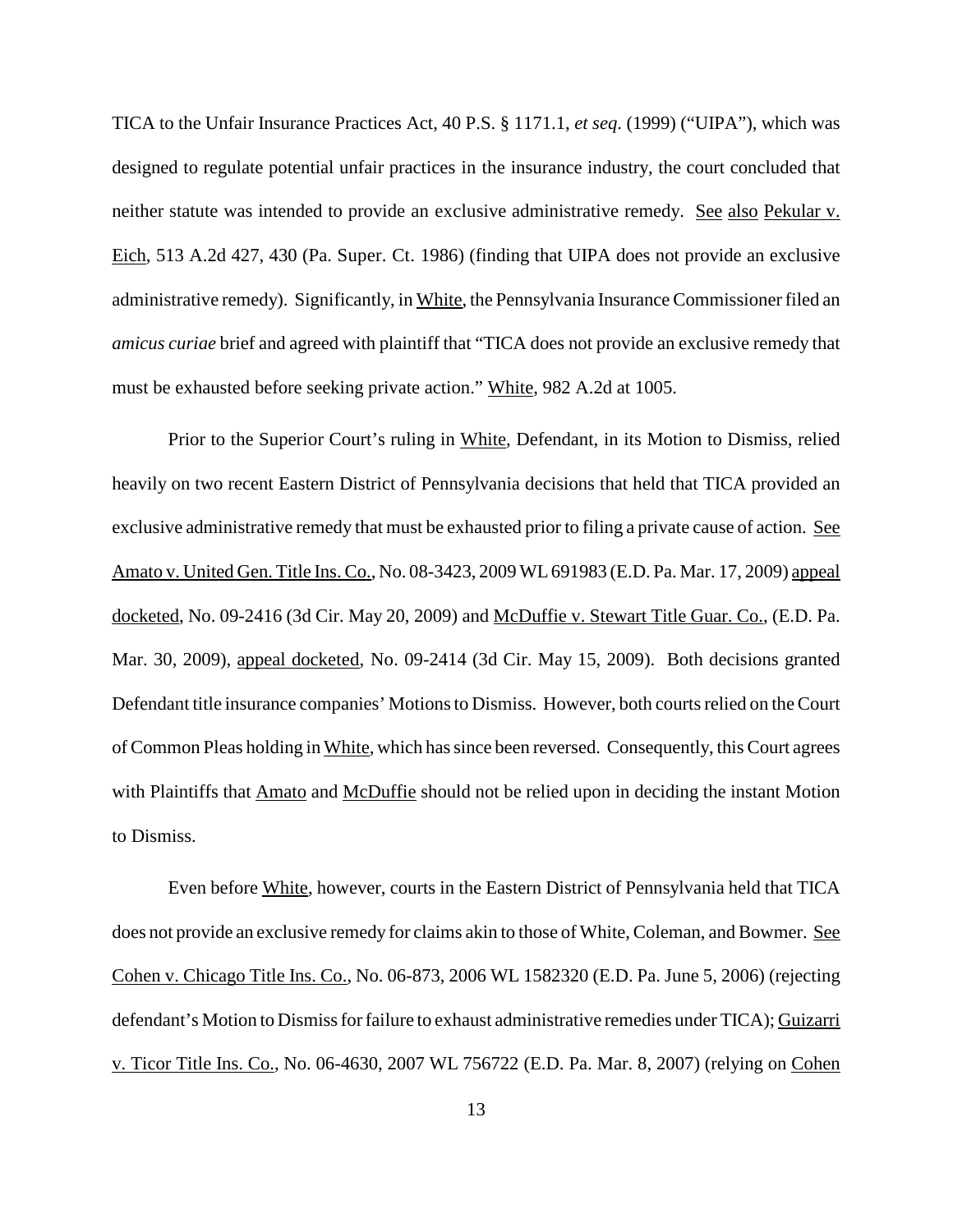TICA to the Unfair Insurance Practices Act, 40 P.S. § 1171.1, *et seq*. (1999) ("UIPA"), which was designed to regulate potential unfair practices in the insurance industry, the court concluded that neither statute was intended to provide an exclusive administrative remedy. See also Pekular v. Eich, 513 A.2d 427, 430 (Pa. Super. Ct. 1986) (finding that UIPA does not provide an exclusive administrative remedy). Significantly, in White, the Pennsylvania Insurance Commissioner filed an *amicus curiae* brief and agreed with plaintiff that "TICA does not provide an exclusive remedy that must be exhausted before seeking private action." White, 982 A.2d at 1005.

Prior to the Superior Court's ruling in White, Defendant, in its Motion to Dismiss, relied heavily on two recent Eastern District of Pennsylvania decisions that held that TICA provided an exclusive administrative remedy that must be exhausted prior to filing a private cause of action. See Amato v. United Gen. Title Ins. Co., No. 08-3423, 2009 WL 691983 (E.D. Pa. Mar. 17, 2009) appeal docketed, No. 09-2416 (3d Cir. May 20, 2009) and McDuffie v. Stewart Title Guar. Co., (E.D. Pa. Mar. 30, 2009), appeal docketed, No. 09-2414 (3d Cir. May 15, 2009). Both decisions granted Defendant title insurance companies' Motions to Dismiss. However, both courts relied on the Court of Common Pleas holding in White, which has since been reversed. Consequently, this Court agrees with Plaintiffs that Amato and McDuffie should not be relied upon in deciding the instant Motion to Dismiss.

Even before White, however, courts in the Eastern District of Pennsylvania held that TICA does not provide an exclusive remedy for claims akin to those of White, Coleman, and Bowmer. See Cohen v. Chicago Title Ins. Co., No. 06-873, 2006 WL 1582320 (E.D. Pa. June 5, 2006) (rejecting defendant's Motion to Dismiss for failure to exhaust administrative remedies under TICA); Guizarri v. Ticor Title Ins. Co., No. 06-4630, 2007 WL 756722 (E.D. Pa. Mar. 8, 2007) (relying on Cohen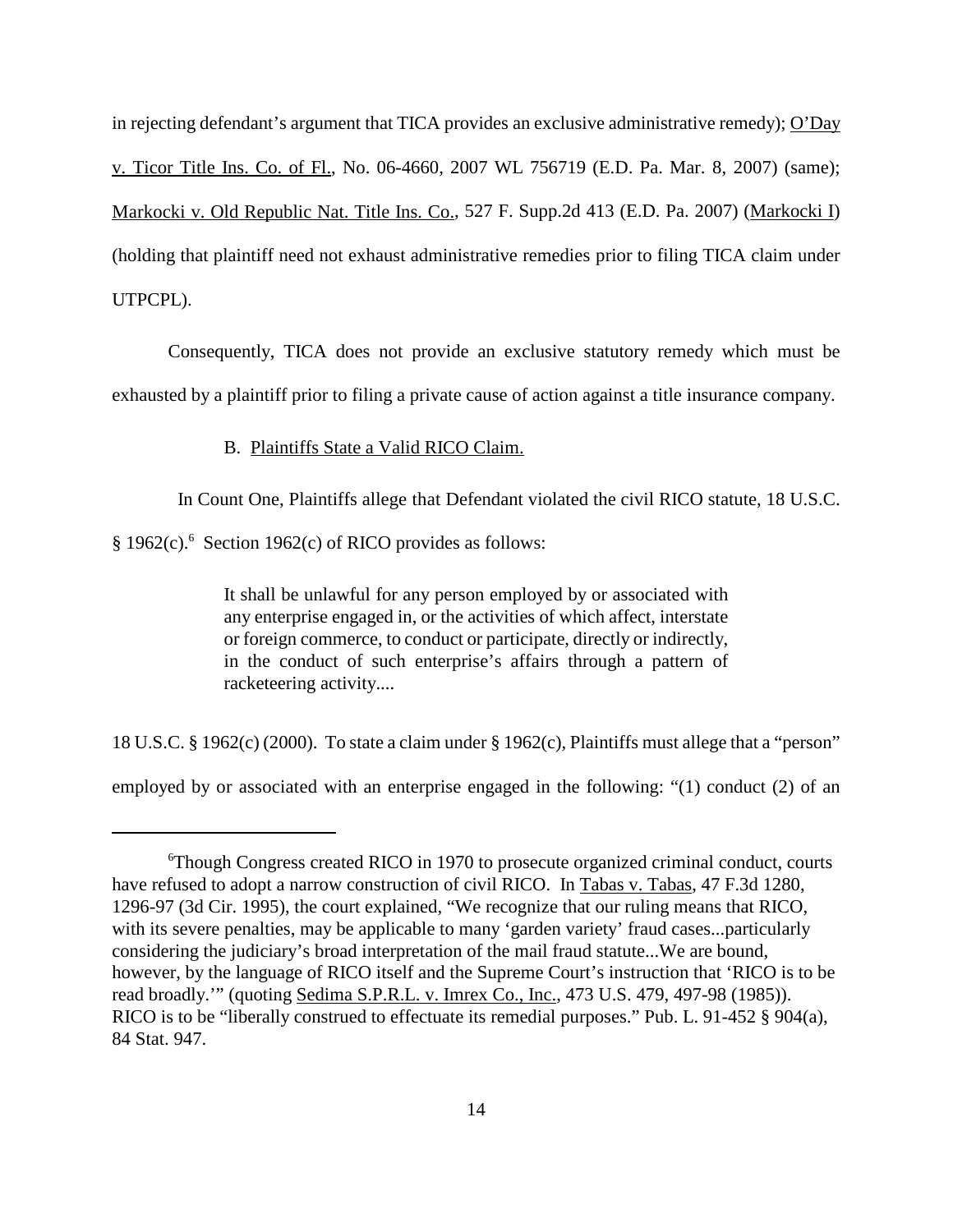in rejecting defendant's argument that TICA provides an exclusive administrative remedy); O'Day v. Ticor Title Ins. Co. of Fl., No. 06-4660, 2007 WL 756719 (E.D. Pa. Mar. 8, 2007) (same); Markocki v. Old Republic Nat. Title Ins. Co., 527 F. Supp.2d 413 (E.D. Pa. 2007) (Markocki I) (holding that plaintiff need not exhaust administrative remedies prior to filing TICA claim under UTPCPL).

Consequently, TICA does not provide an exclusive statutory remedy which must be exhausted by a plaintiff prior to filing a private cause of action against a title insurance company.

### B. Plaintiffs State a Valid RICO Claim.

In Count One, Plaintiffs allege that Defendant violated the civil RICO statute, 18 U.S.C.

§ 1962(c).<sup>6</sup> Section 1962(c) of RICO provides as follows:

It shall be unlawful for any person employed by or associated with any enterprise engaged in, or the activities of which affect, interstate or foreign commerce, to conduct or participate, directly or indirectly, in the conduct of such enterprise's affairs through a pattern of racketeering activity....

18 U.S.C. § 1962(c) (2000). To state a claim under § 1962(c), Plaintiffs must allege that a "person"

employed by or associated with an enterprise engaged in the following: "(1) conduct (2) of an

<sup>6</sup> Though Congress created RICO in 1970 to prosecute organized criminal conduct, courts have refused to adopt a narrow construction of civil RICO. In Tabas v. Tabas, 47 F.3d 1280, 1296-97 (3d Cir. 1995), the court explained, "We recognize that our ruling means that RICO, with its severe penalties, may be applicable to many 'garden variety' fraud cases...particularly considering the judiciary's broad interpretation of the mail fraud statute...We are bound, however, by the language of RICO itself and the Supreme Court's instruction that 'RICO is to be read broadly.'" (quoting Sedima S.P.R.L. v. Imrex Co., Inc., 473 U.S. 479, 497-98 (1985)). RICO is to be "liberally construed to effectuate its remedial purposes." Pub. L. 91-452 § 904(a), 84 Stat. 947.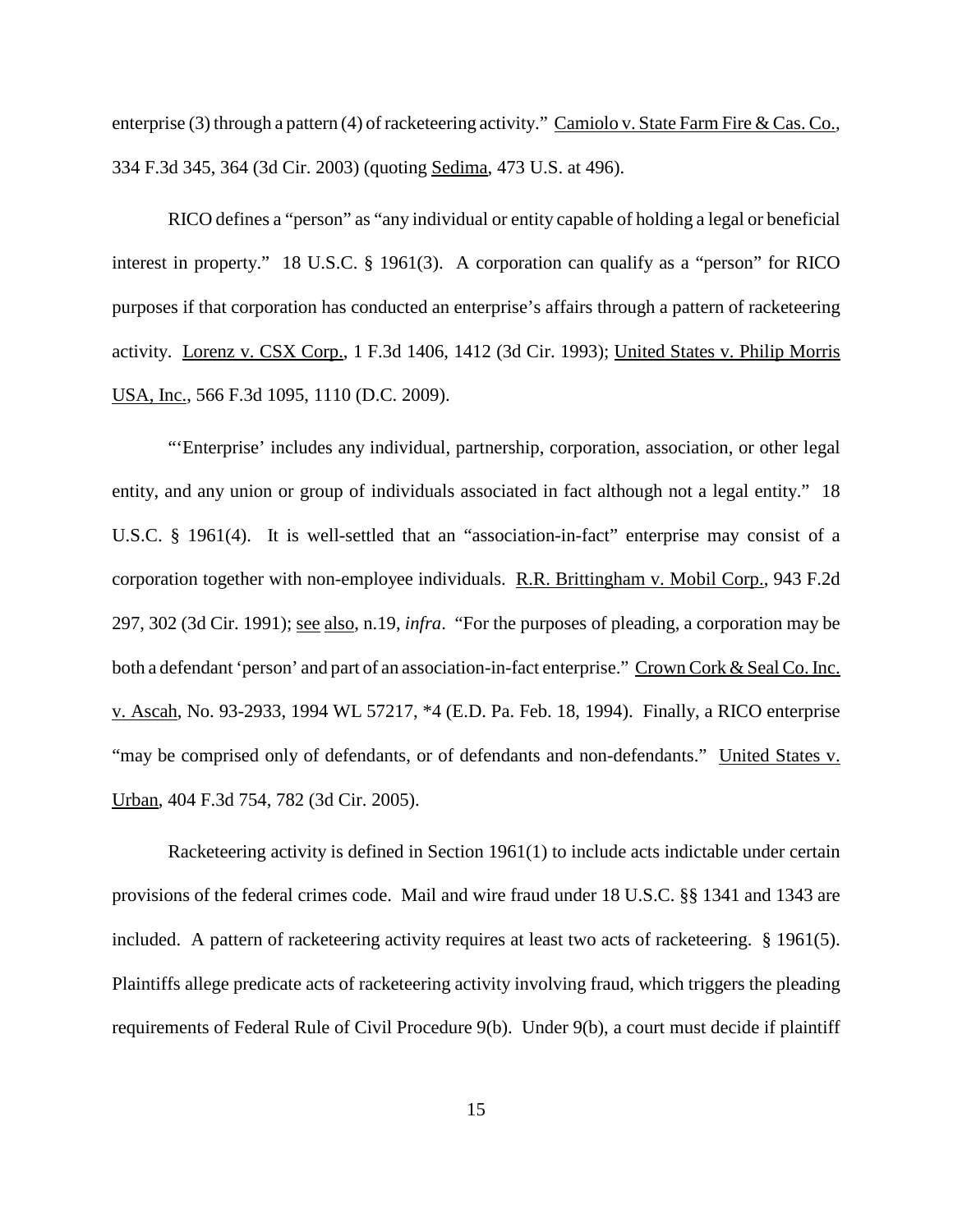enterprise (3) through a pattern (4) of racketeering activity." Camiolo v. State Farm Fire & Cas. Co., 334 F.3d 345, 364 (3d Cir. 2003) (quoting Sedima, 473 U.S. at 496).

RICO defines a "person" as "any individual or entity capable of holding a legal or beneficial interest in property." 18 U.S.C. § 1961(3). A corporation can qualify as a "person" for RICO purposes if that corporation has conducted an enterprise's affairs through a pattern of racketeering activity. Lorenz v. CSX Corp., 1 F.3d 1406, 1412 (3d Cir. 1993); United States v. Philip Morris USA, Inc., 566 F.3d 1095, 1110 (D.C. 2009).

"'Enterprise' includes any individual, partnership, corporation, association, or other legal entity, and any union or group of individuals associated in fact although not a legal entity." 18 U.S.C. § 1961(4). It is well-settled that an "association-in-fact" enterprise may consist of a corporation together with non-employee individuals. R.R. Brittingham v. Mobil Corp., 943 F.2d 297, 302 (3d Cir. 1991); see also, n.19, *infra*. "For the purposes of pleading, a corporation may be both a defendant 'person' and part of an association-in-fact enterprise." Crown Cork & Seal Co. Inc. v. Ascah, No. 93-2933, 1994 WL 57217, \*4 (E.D. Pa. Feb. 18, 1994). Finally, a RICO enterprise "may be comprised only of defendants, or of defendants and non-defendants." United States v. Urban, 404 F.3d 754, 782 (3d Cir. 2005).

Racketeering activity is defined in Section 1961(1) to include acts indictable under certain provisions of the federal crimes code. Mail and wire fraud under 18 U.S.C. §§ 1341 and 1343 are included. A pattern of racketeering activity requires at least two acts of racketeering. § 1961(5). Plaintiffs allege predicate acts of racketeering activity involving fraud, which triggers the pleading requirements of Federal Rule of Civil Procedure 9(b). Under 9(b), a court must decide if plaintiff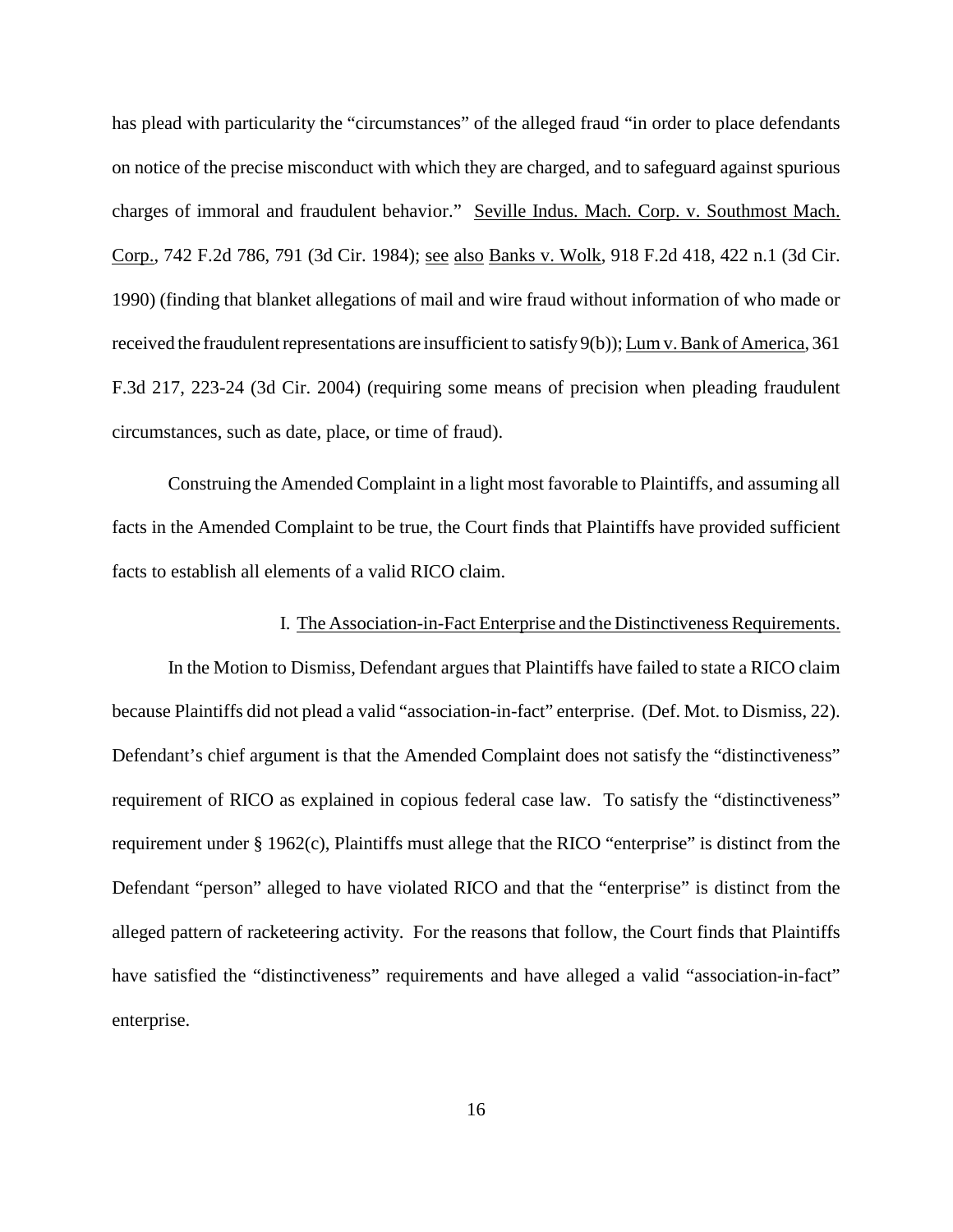has plead with particularity the "circumstances" of the alleged fraud "in order to place defendants on notice of the precise misconduct with which they are charged, and to safeguard against spurious charges of immoral and fraudulent behavior." Seville Indus. Mach. Corp. v. Southmost Mach. Corp., 742 F.2d 786, 791 (3d Cir. 1984); see also Banks v. Wolk, 918 F.2d 418, 422 n.1 (3d Cir. 1990) (finding that blanket allegations of mail and wire fraud without information of who made or received the fraudulent representations are insufficient to satisfy  $9(b)$ ); Lum v. Bank of America, 361 F.3d 217, 223-24 (3d Cir. 2004) (requiring some means of precision when pleading fraudulent circumstances, such as date, place, or time of fraud).

Construing the Amended Complaint in a light most favorable to Plaintiffs, and assuming all facts in the Amended Complaint to be true, the Court finds that Plaintiffs have provided sufficient facts to establish all elements of a valid RICO claim.

### I. The Association-in-Fact Enterprise and the Distinctiveness Requirements.

In the Motion to Dismiss, Defendant argues that Plaintiffs have failed to state a RICO claim because Plaintiffs did not plead a valid "association-in-fact" enterprise. (Def. Mot. to Dismiss, 22). Defendant's chief argument is that the Amended Complaint does not satisfy the "distinctiveness" requirement of RICO as explained in copious federal case law. To satisfy the "distinctiveness" requirement under § 1962(c), Plaintiffs must allege that the RICO "enterprise" is distinct from the Defendant "person" alleged to have violated RICO and that the "enterprise" is distinct from the alleged pattern of racketeering activity. For the reasons that follow, the Court finds that Plaintiffs have satisfied the "distinctiveness" requirements and have alleged a valid "association-in-fact" enterprise.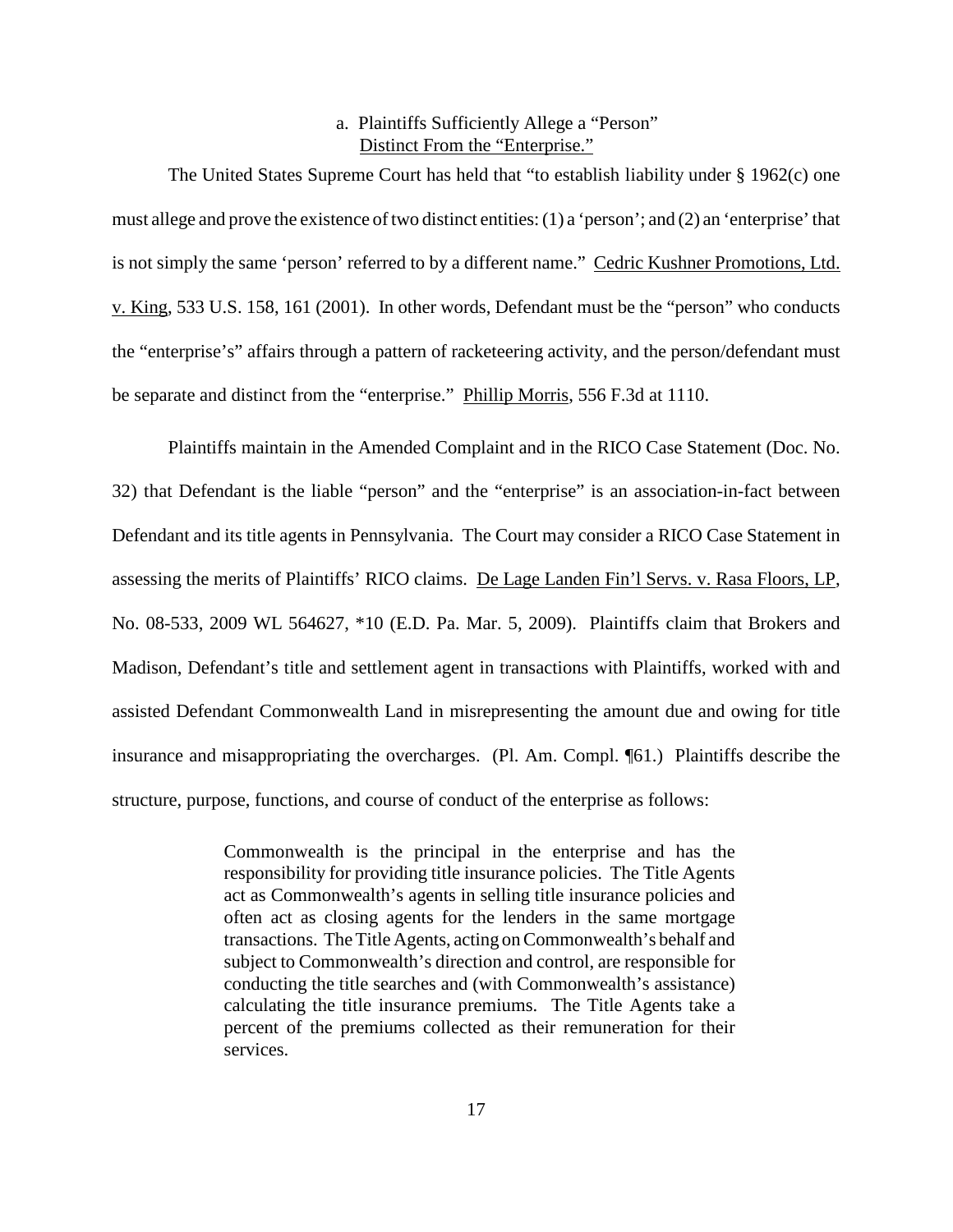### a. Plaintiffs Sufficiently Allege a "Person" Distinct From the "Enterprise."

The United States Supreme Court has held that "to establish liability under § 1962(c) one must allege and prove the existence of two distinct entities:  $(1)$  a 'person'; and  $(2)$  an 'enterprise' that is not simply the same 'person' referred to by a different name." Cedric Kushner Promotions, Ltd. v. King, 533 U.S. 158, 161 (2001). In other words, Defendant must be the "person" who conducts the "enterprise's" affairs through a pattern of racketeering activity, and the person/defendant must be separate and distinct from the "enterprise." Phillip Morris, 556 F.3d at 1110.

Plaintiffs maintain in the Amended Complaint and in the RICO Case Statement (Doc. No. 32) that Defendant is the liable "person" and the "enterprise" is an association-in-fact between Defendant and its title agents in Pennsylvania. The Court may consider a RICO Case Statement in assessing the merits of Plaintiffs' RICO claims. De Lage Landen Fin'l Servs. v. Rasa Floors, LP, No. 08-533, 2009 WL 564627, \*10 (E.D. Pa. Mar. 5, 2009). Plaintiffs claim that Brokers and Madison, Defendant's title and settlement agent in transactions with Plaintiffs, worked with and assisted Defendant Commonwealth Land in misrepresenting the amount due and owing for title insurance and misappropriating the overcharges. (Pl. Am. Compl. ¶61.) Plaintiffs describe the structure, purpose, functions, and course of conduct of the enterprise as follows:

> Commonwealth is the principal in the enterprise and has the responsibility for providing title insurance policies. The Title Agents act as Commonwealth's agents in selling title insurance policies and often act as closing agents for the lenders in the same mortgage transactions. TheTitle Agents, acting onCommonwealth's behalf and subject to Commonwealth's direction and control, are responsible for conducting the title searches and (with Commonwealth's assistance) calculating the title insurance premiums. The Title Agents take a percent of the premiums collected as their remuneration for their services.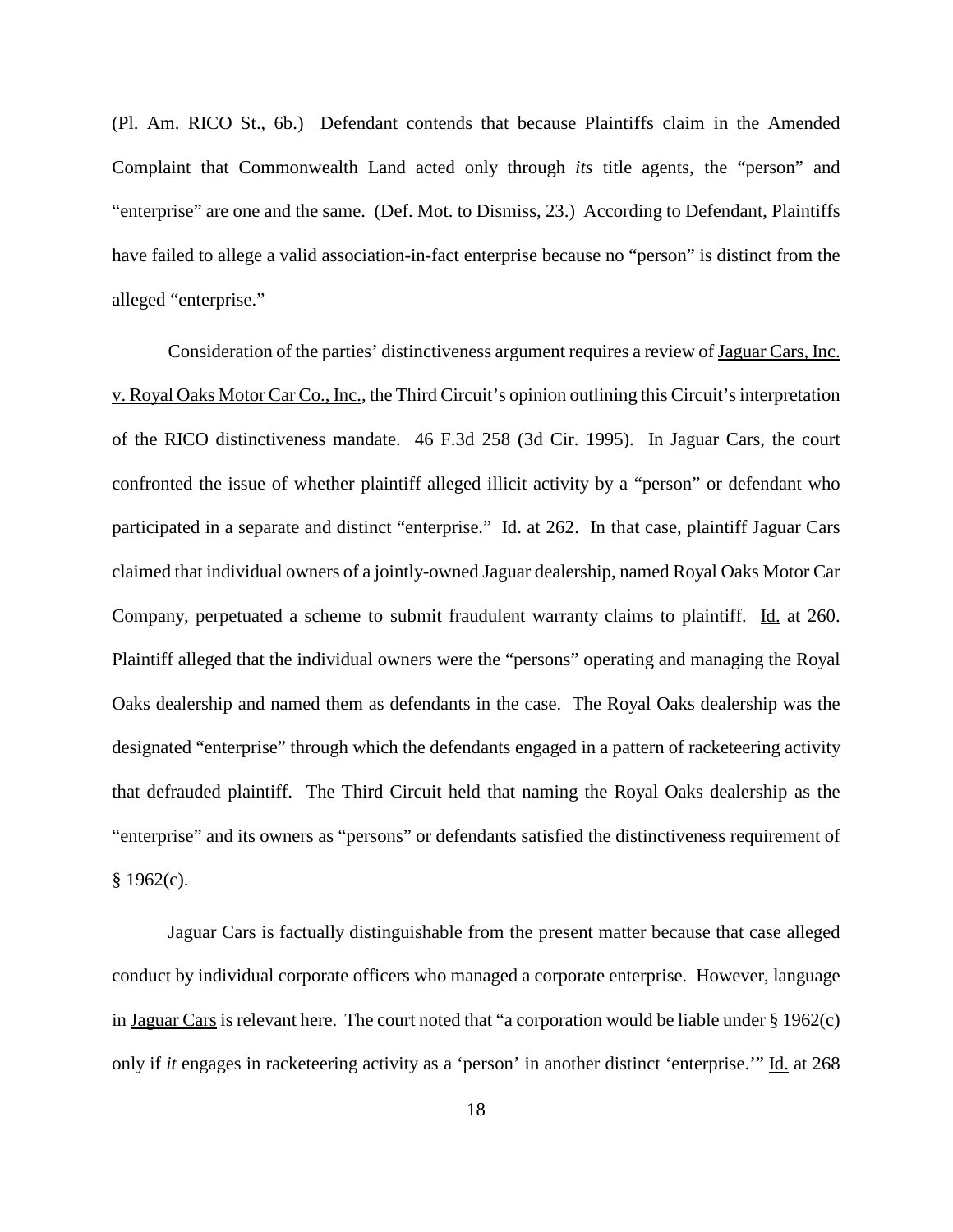(Pl. Am. RICO St., 6b.) Defendant contends that because Plaintiffs claim in the Amended Complaint that Commonwealth Land acted only through *its* title agents, the "person" and "enterprise" are one and the same. (Def. Mot. to Dismiss, 23.) According to Defendant, Plaintiffs have failed to allege a valid association-in-fact enterprise because no "person" is distinct from the alleged "enterprise."

Consideration of the parties' distinctiveness argument requires a review of Jaguar Cars, Inc. v. Royal Oaks Motor Car Co., Inc., the Third Circuit's opinion outlining this Circuit'sinterpretation of the RICO distinctiveness mandate. 46 F.3d 258 (3d Cir. 1995). In Jaguar Cars, the court confronted the issue of whether plaintiff alleged illicit activity by a "person" or defendant who participated in a separate and distinct "enterprise." Id. at 262. In that case, plaintiff Jaguar Cars claimed that individual owners of a jointly-owned Jaguar dealership, named Royal Oaks Motor Car Company, perpetuated a scheme to submit fraudulent warranty claims to plaintiff. Id. at 260. Plaintiff alleged that the individual owners were the "persons" operating and managing the Royal Oaks dealership and named them as defendants in the case. The Royal Oaks dealership was the designated "enterprise" through which the defendants engaged in a pattern of racketeering activity that defrauded plaintiff. The Third Circuit held that naming the Royal Oaks dealership as the "enterprise" and its owners as "persons" or defendants satisfied the distinctiveness requirement of  $§$  1962(c).

Jaguar Cars is factually distinguishable from the present matter because that case alleged conduct by individual corporate officers who managed a corporate enterprise. However, language in Jaguar Cars is relevant here. The court noted that "a corporation would be liable under § 1962(c) only if *it* engages in racketeering activity as a 'person' in another distinct 'enterprise.'" Id. at 268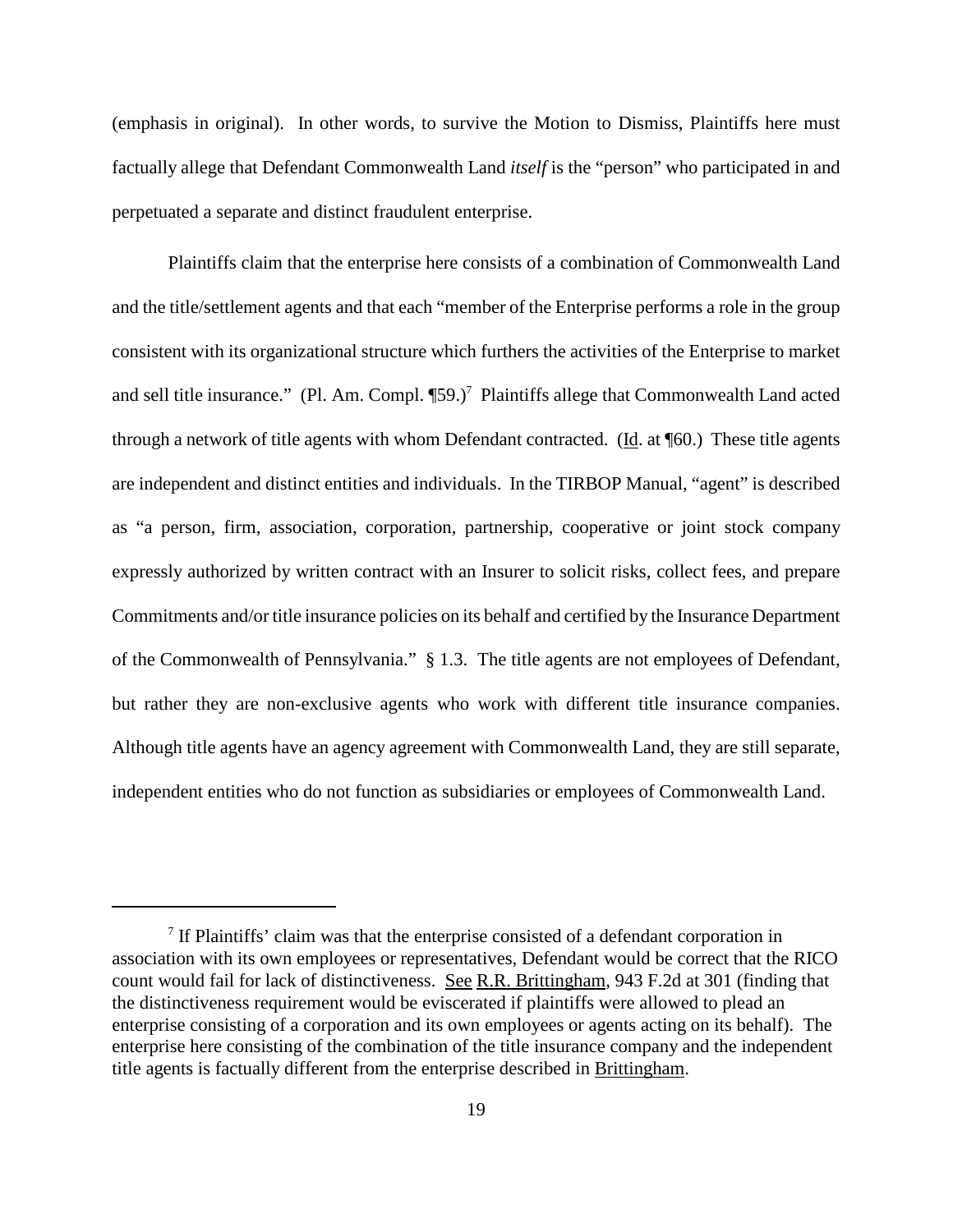(emphasis in original). In other words, to survive the Motion to Dismiss, Plaintiffs here must factually allege that Defendant Commonwealth Land *itself* is the "person" who participated in and perpetuated a separate and distinct fraudulent enterprise.

Plaintiffs claim that the enterprise here consists of a combination of Commonwealth Land and the title/settlement agents and that each "member of the Enterprise performs a role in the group consistent with its organizational structure which furthers the activities of the Enterprise to market and sell title insurance." (Pl. Am. Compl. [59.)<sup>7</sup> Plaintiffs allege that Commonwealth Land acted through a network of title agents with whom Defendant contracted. (Id. at ¶60.) These title agents are independent and distinct entities and individuals. In the TIRBOP Manual, "agent" is described as "a person, firm, association, corporation, partnership, cooperative or joint stock company expressly authorized by written contract with an Insurer to solicit risks, collect fees, and prepare Commitments and/or title insurance policies on its behalf and certified by the Insurance Department of the Commonwealth of Pennsylvania." § 1.3. The title agents are not employees of Defendant, but rather they are non-exclusive agents who work with different title insurance companies. Although title agents have an agency agreement with Commonwealth Land, they are still separate, independent entities who do not function as subsidiaries or employees of Commonwealth Land.

<sup>7</sup> If Plaintiffs' claim was that the enterprise consisted of a defendant corporation in association with its own employees or representatives, Defendant would be correct that the RICO count would fail for lack of distinctiveness. See R.R. Brittingham, 943 F.2d at 301 (finding that the distinctiveness requirement would be eviscerated if plaintiffs were allowed to plead an enterprise consisting of a corporation and its own employees or agents acting on its behalf). The enterprise here consisting of the combination of the title insurance company and the independent title agents is factually different from the enterprise described in Brittingham.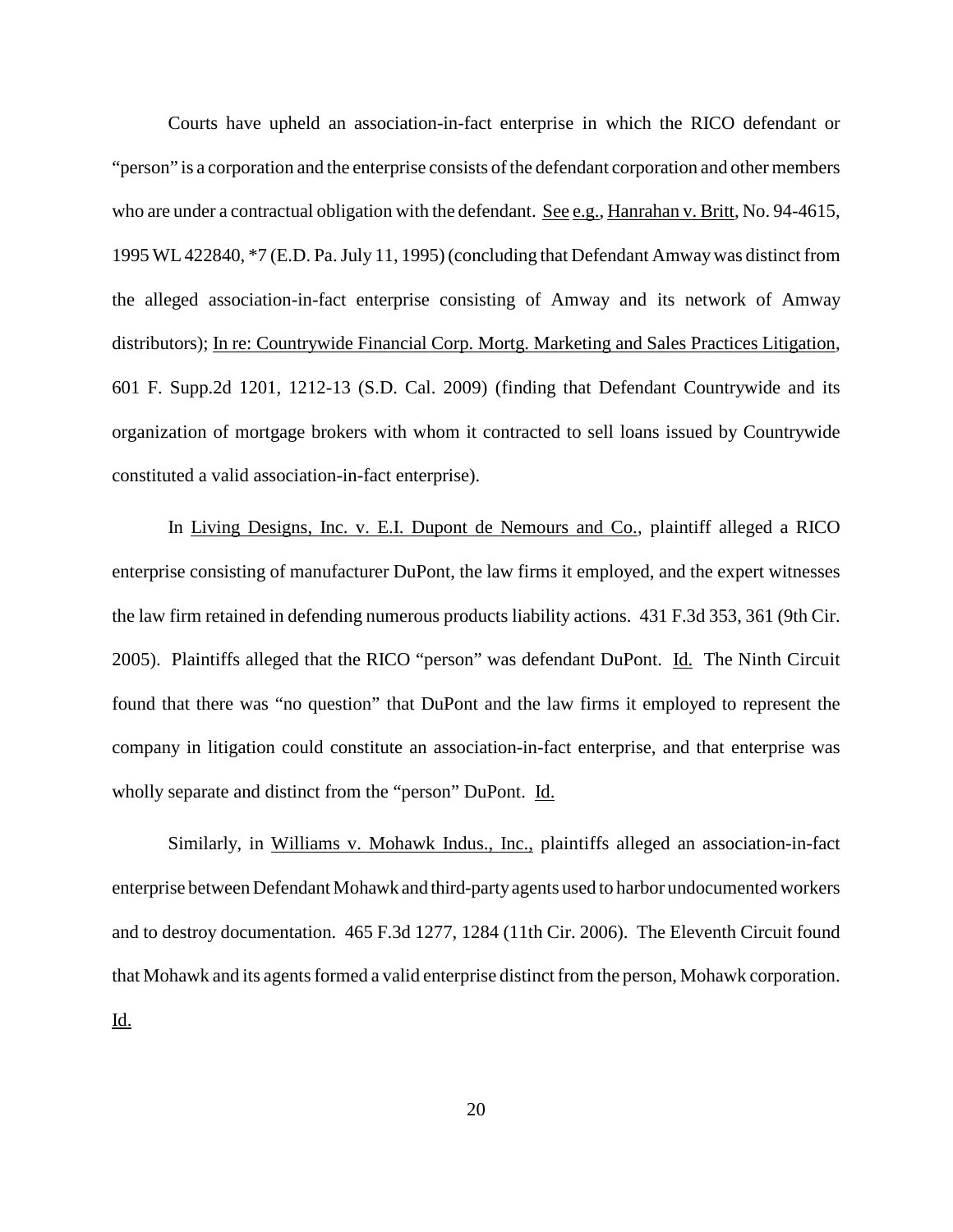Courts have upheld an association-in-fact enterprise in which the RICO defendant or "person" is a corporation and the enterprise consists ofthe defendant corporation and other members who are under a contractual obligation with the defendant. See e.g., Hanrahan v. Britt, No. 94-4615, 1995 WL422840, \*7 (E.D. Pa.July 11, 1995) (concluding that Defendant Amwaywas distinct from the alleged association-in-fact enterprise consisting of Amway and its network of Amway distributors); In re: Countrywide Financial Corp. Mortg. Marketing and Sales Practices Litigation, 601 F. Supp.2d 1201, 1212-13 (S.D. Cal. 2009) (finding that Defendant Countrywide and its organization of mortgage brokers with whom it contracted to sell loans issued by Countrywide constituted a valid association-in-fact enterprise).

In Living Designs, Inc. v. E.I. Dupont de Nemours and Co., plaintiff alleged a RICO enterprise consisting of manufacturer DuPont, the law firms it employed, and the expert witnesses the law firm retained in defending numerous products liability actions. 431 F.3d 353, 361 (9th Cir. 2005). Plaintiffs alleged that the RICO "person" was defendant DuPont. Id. The Ninth Circuit found that there was "no question" that DuPont and the law firms it employed to represent the company in litigation could constitute an association-in-fact enterprise, and that enterprise was wholly separate and distinct from the "person" DuPont. Id.

Similarly, in Williams v. Mohawk Indus., Inc., plaintiffs alleged an association-in-fact enterprise between Defendant Mohawk and third-partyagents used to harbor undocumented workers and to destroy documentation. 465 F.3d 1277, 1284 (11th Cir. 2006). The Eleventh Circuit found that Mohawk and its agents formed a valid enterprise distinct from the person, Mohawk corporation. Id.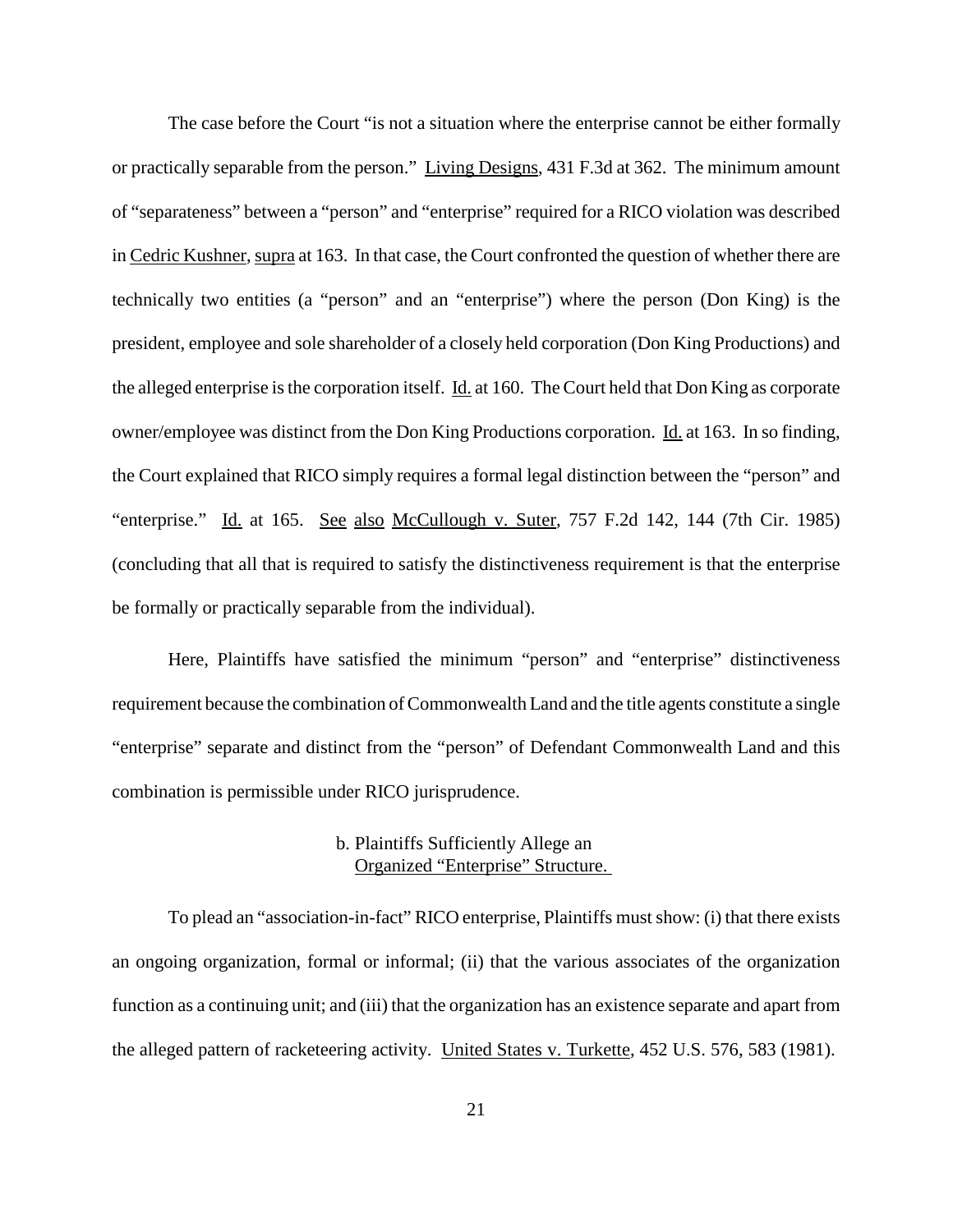The case before the Court "is not a situation where the enterprise cannot be either formally or practically separable from the person." Living Designs, 431 F.3d at 362. The minimum amount of "separateness" between a "person" and "enterprise" required for a RICO violation was described in Cedric Kushner, supra at 163. In that case, the Court confronted the question of whether there are technically two entities (a "person" and an "enterprise") where the person (Don King) is the president, employee and sole shareholder of a closely held corporation (Don King Productions) and the alleged enterprise isthe corporation itself. Id. at 160. TheCourt held that Don King as corporate owner/employee was distinct from the Don King Productions corporation. Id. at 163. In so finding, the Court explained that RICO simply requires a formal legal distinction between the "person" and "enterprise." Id. at 165. See also McCullough v. Suter, 757 F.2d 142, 144 (7th Cir. 1985) (concluding that all that is required to satisfy the distinctiveness requirement is that the enterprise be formally or practically separable from the individual).

Here, Plaintiffs have satisfied the minimum "person" and "enterprise" distinctiveness requirement because the combination of Commonwealth Land and the title agents constitute a single "enterprise" separate and distinct from the "person" of Defendant Commonwealth Land and this combination is permissible under RICO jurisprudence.

# b. Plaintiffs Sufficiently Allege an Organized "Enterprise" Structure.

To plead an "association-in-fact" RICO enterprise, Plaintiffs must show: (i) that there exists an ongoing organization, formal or informal; (ii) that the various associates of the organization function as a continuing unit; and (iii) that the organization has an existence separate and apart from the alleged pattern of racketeering activity. United States v. Turkette, 452 U.S. 576, 583 (1981).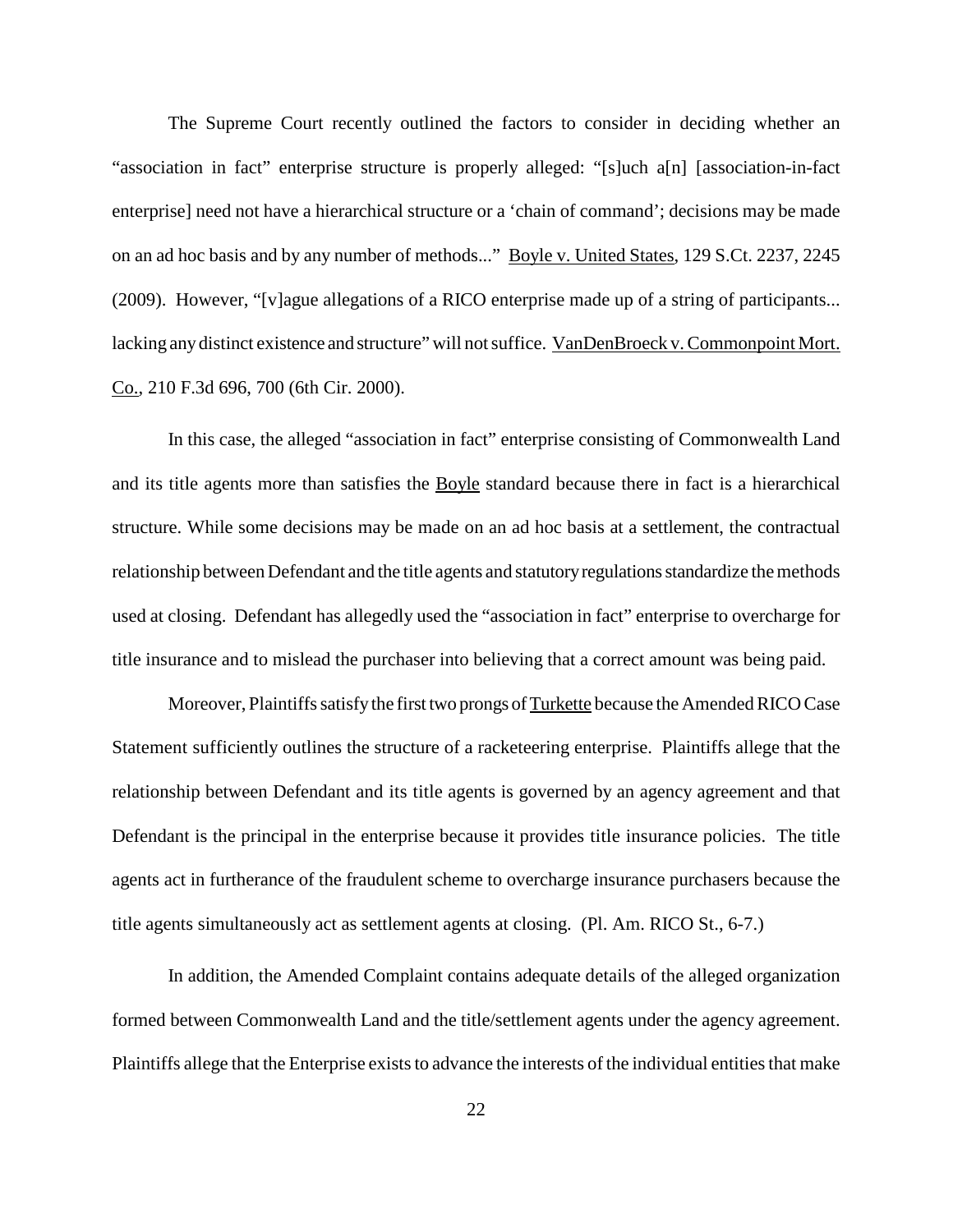The Supreme Court recently outlined the factors to consider in deciding whether an "association in fact" enterprise structure is properly alleged: "[s]uch a[n] [association-in-fact enterprise] need not have a hierarchical structure or a 'chain of command'; decisions may be made on an ad hoc basis and by any number of methods..." Boyle v. United States, 129 S.Ct. 2237, 2245 (2009). However, "[v]ague allegations of a RICO enterprise made up of a string of participants... lacking anydistinct existence and structure" will notsuffice. VanDenBroeck v.Commonpoint Mort. Co., 210 F.3d 696, 700 (6th Cir. 2000).

In this case, the alleged "association in fact" enterprise consisting of Commonwealth Land and its title agents more than satisfies the Boyle standard because there in fact is a hierarchical structure. While some decisions may be made on an ad hoc basis at a settlement, the contractual relationship between Defendant and the title agents and statutory regulations standardize the methods used at closing. Defendant has allegedly used the "association in fact" enterprise to overcharge for title insurance and to mislead the purchaser into believing that a correct amount was being paid.

Moreover, Plaintiffs satisfy the first two prongs of Turkette because the Amended RICO Case Statement sufficiently outlines the structure of a racketeering enterprise. Plaintiffs allege that the relationship between Defendant and its title agents is governed by an agency agreement and that Defendant is the principal in the enterprise because it provides title insurance policies. The title agents act in furtherance of the fraudulent scheme to overcharge insurance purchasers because the title agents simultaneously act as settlement agents at closing. (Pl. Am. RICO St., 6-7.)

In addition, the Amended Complaint contains adequate details of the alleged organization formed between Commonwealth Land and the title/settlement agents under the agency agreement. Plaintiffs allege that the Enterprise exists to advance the interests of the individual entities that make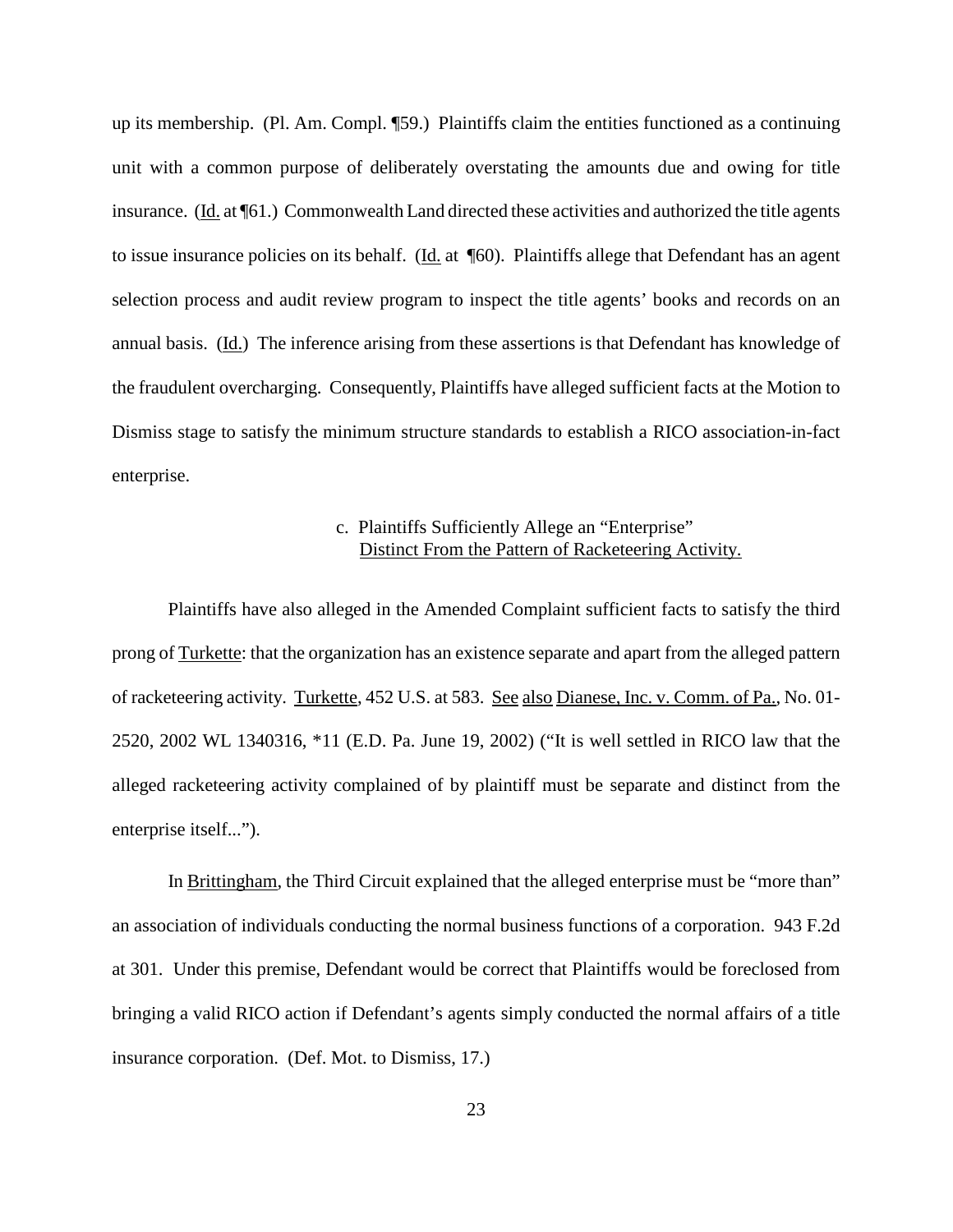up its membership. (Pl. Am. Compl. ¶59.) Plaintiffs claim the entities functioned as a continuing unit with a common purpose of deliberately overstating the amounts due and owing for title insurance. (Id. at ¶61.) Commonwealth Land directed these activities and authorized the title agents to issue insurance policies on its behalf. (Id. at ¶60). Plaintiffs allege that Defendant has an agent selection process and audit review program to inspect the title agents' books and records on an annual basis. (Id.) The inference arising from these assertions is that Defendant has knowledge of the fraudulent overcharging. Consequently, Plaintiffs have alleged sufficient facts at the Motion to Dismiss stage to satisfy the minimum structure standards to establish a RICO association-in-fact enterprise.

# c. Plaintiffs Sufficiently Allege an "Enterprise" Distinct From the Pattern of Racketeering Activity.

Plaintiffs have also alleged in the Amended Complaint sufficient facts to satisfy the third prong of Turkette: that the organization has an existence separate and apart from the alleged pattern of racketeering activity. Turkette, 452 U.S. at 583. See also Dianese, Inc. v. Comm. of Pa., No. 01- 2520, 2002 WL 1340316, \*11 (E.D. Pa. June 19, 2002) ("It is well settled in RICO law that the alleged racketeering activity complained of by plaintiff must be separate and distinct from the enterprise itself...").

In Brittingham, the Third Circuit explained that the alleged enterprise must be "more than" an association of individuals conducting the normal business functions of a corporation. 943 F.2d at 301. Under this premise, Defendant would be correct that Plaintiffs would be foreclosed from bringing a valid RICO action if Defendant's agents simply conducted the normal affairs of a title insurance corporation. (Def. Mot. to Dismiss, 17.)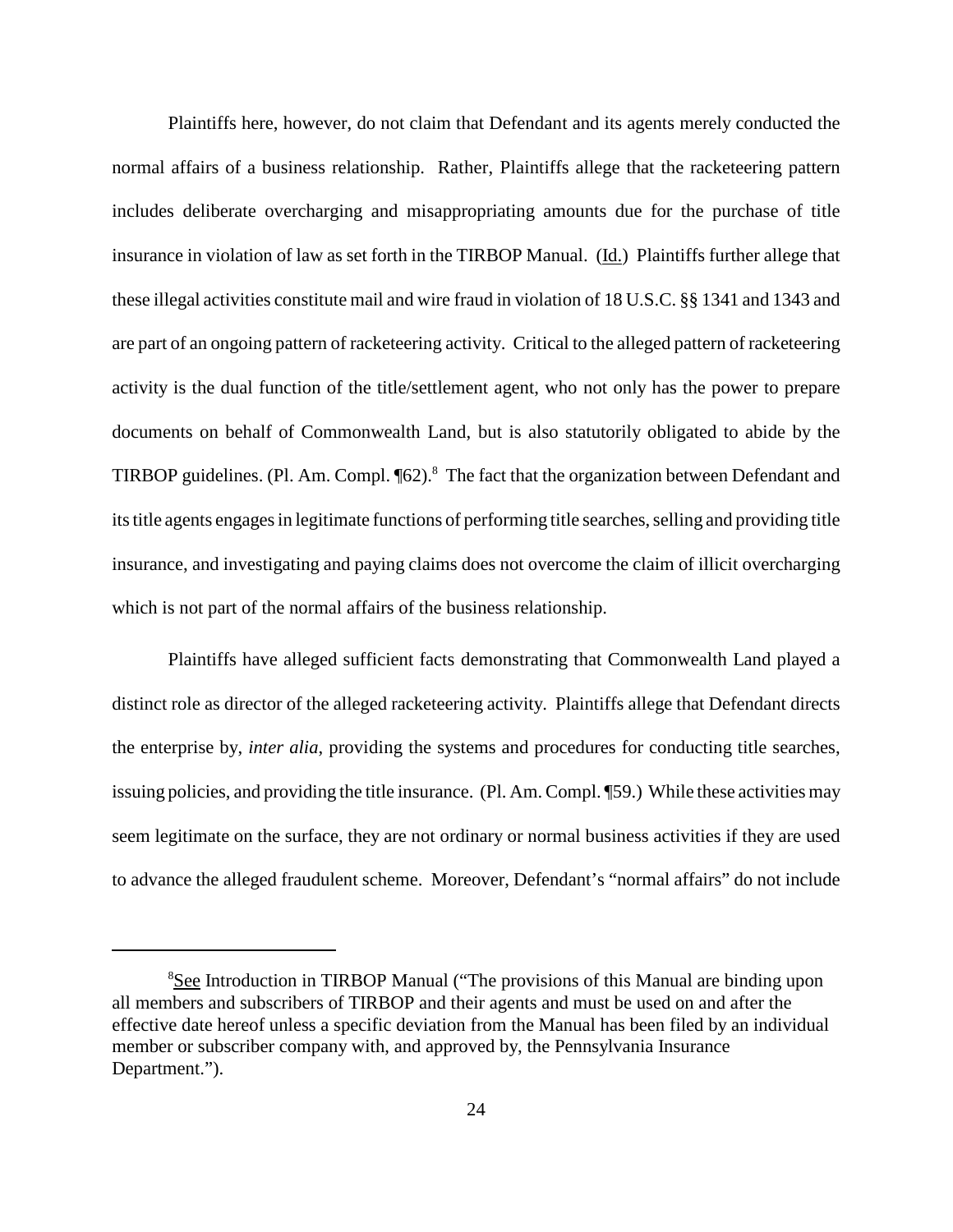Plaintiffs here, however, do not claim that Defendant and its agents merely conducted the normal affairs of a business relationship. Rather, Plaintiffs allege that the racketeering pattern includes deliberate overcharging and misappropriating amounts due for the purchase of title insurance in violation of law as set forth in the TIRBOP Manual. (Id.) Plaintiffs further allege that these illegal activities constitute mail and wire fraud in violation of 18 U.S.C. §§ 1341 and 1343 and are part of an ongoing pattern of racketeering activity. Critical to the alleged pattern of racketeering activity is the dual function of the title/settlement agent, who not only has the power to prepare documents on behalf of Commonwealth Land, but is also statutorily obligated to abide by the TIRBOP guidelines. (Pl. Am. Compl. [62).<sup>8</sup> The fact that the organization between Defendant and its title agents engages in legitimate functions of performing title searches, selling and providing title insurance, and investigating and paying claims does not overcome the claim of illicit overcharging which is not part of the normal affairs of the business relationship.

Plaintiffs have alleged sufficient facts demonstrating that Commonwealth Land played a distinct role as director of the alleged racketeering activity. Plaintiffs allege that Defendant directs the enterprise by, *inter alia*, providing the systems and procedures for conducting title searches, issuing policies, and providing the title insurance. (Pl. Am. Compl. ¶59.) While these activities may seem legitimate on the surface, they are not ordinary or normal business activities if they are used to advance the alleged fraudulent scheme. Moreover, Defendant's "normal affairs" do not include

<sup>&</sup>lt;sup>8</sup>See Introduction in TIRBOP Manual ("The provisions of this Manual are binding upon all members and subscribers of TIRBOP and their agents and must be used on and after the effective date hereof unless a specific deviation from the Manual has been filed by an individual member or subscriber company with, and approved by, the Pennsylvania Insurance Department.").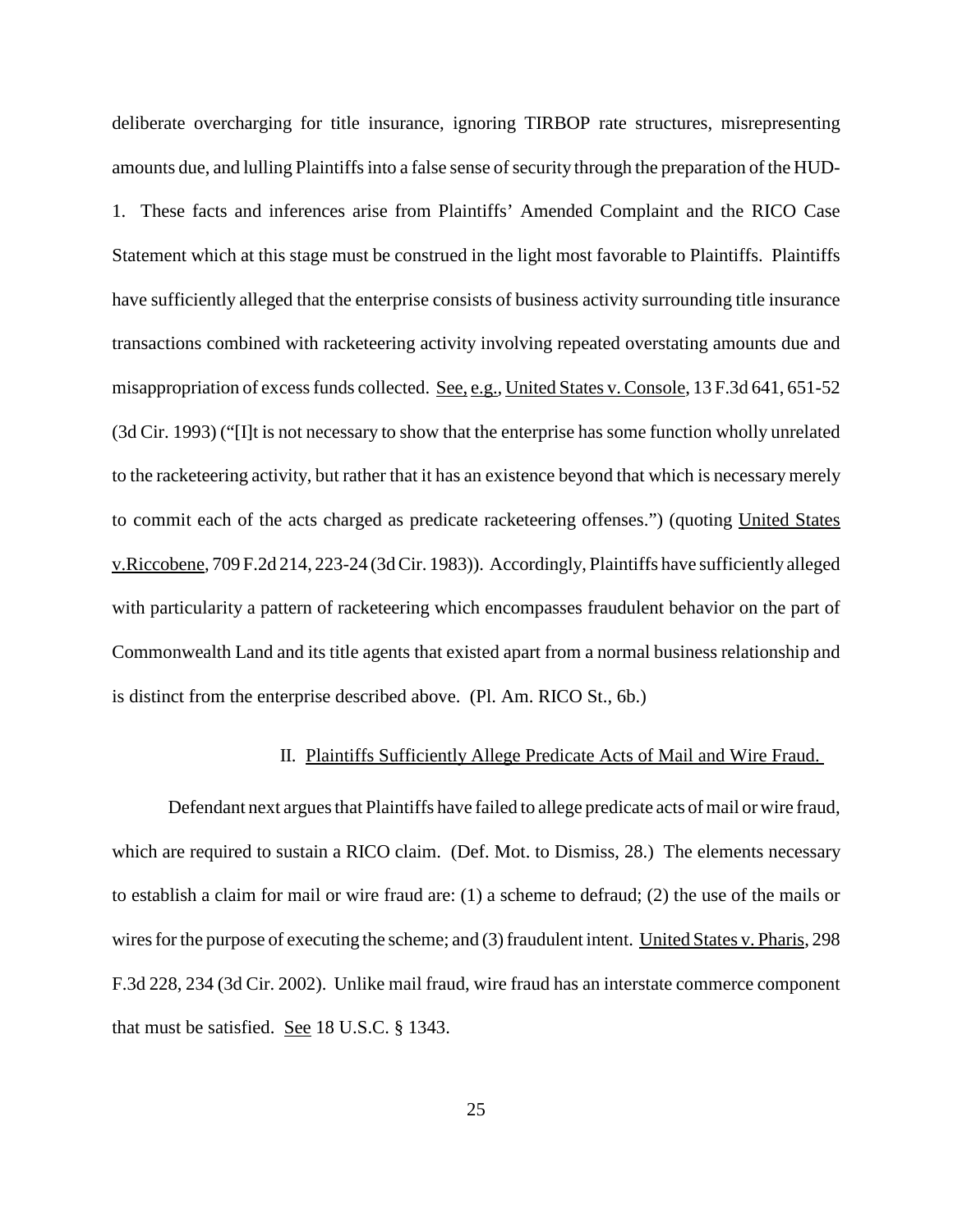deliberate overcharging for title insurance, ignoring TIRBOP rate structures, misrepresenting amounts due, and lulling Plaintiffs into a false sense of security through the preparation of the HUD-1. These facts and inferences arise from Plaintiffs' Amended Complaint and the RICO Case Statement which at this stage must be construed in the light most favorable to Plaintiffs. Plaintiffs have sufficiently alleged that the enterprise consists of business activity surrounding title insurance transactions combined with racketeering activity involving repeated overstating amounts due and misappropriation of excessfunds collected. See, e.g.*,* United States v.Console, 13 F.3d 641, 651-52 (3d Cir. 1993) ("[I]t is not necessary to show that the enterprise has some function wholly unrelated to the racketeering activity, but rather that it has an existence beyond that which is necessary merely to commit each of the acts charged as predicate racketeering offenses.") (quoting United States v.Riccobene, 709 F.2d 214, 223-24 (3dCir. 1983)). Accordingly, Plaintiffs have sufficiently alleged with particularity a pattern of racketeering which encompasses fraudulent behavior on the part of Commonwealth Land and its title agents that existed apart from a normal business relationship and is distinct from the enterprise described above. (Pl. Am. RICO St., 6b.)

### II. Plaintiffs Sufficiently Allege Predicate Acts of Mail and Wire Fraud.

Defendant next argues that Plaintiffs have failed to allege predicate acts of mail or wire fraud, which are required to sustain a RICO claim. (Def. Mot. to Dismiss, 28.) The elements necessary to establish a claim for mail or wire fraud are: (1) a scheme to defraud; (2) the use of the mails or wires for the purpose of executing the scheme; and (3) fraudulent intent. United States v. Pharis, 298 F.3d 228, 234 (3d Cir. 2002). Unlike mail fraud, wire fraud has an interstate commerce component that must be satisfied. See 18 U.S.C. § 1343.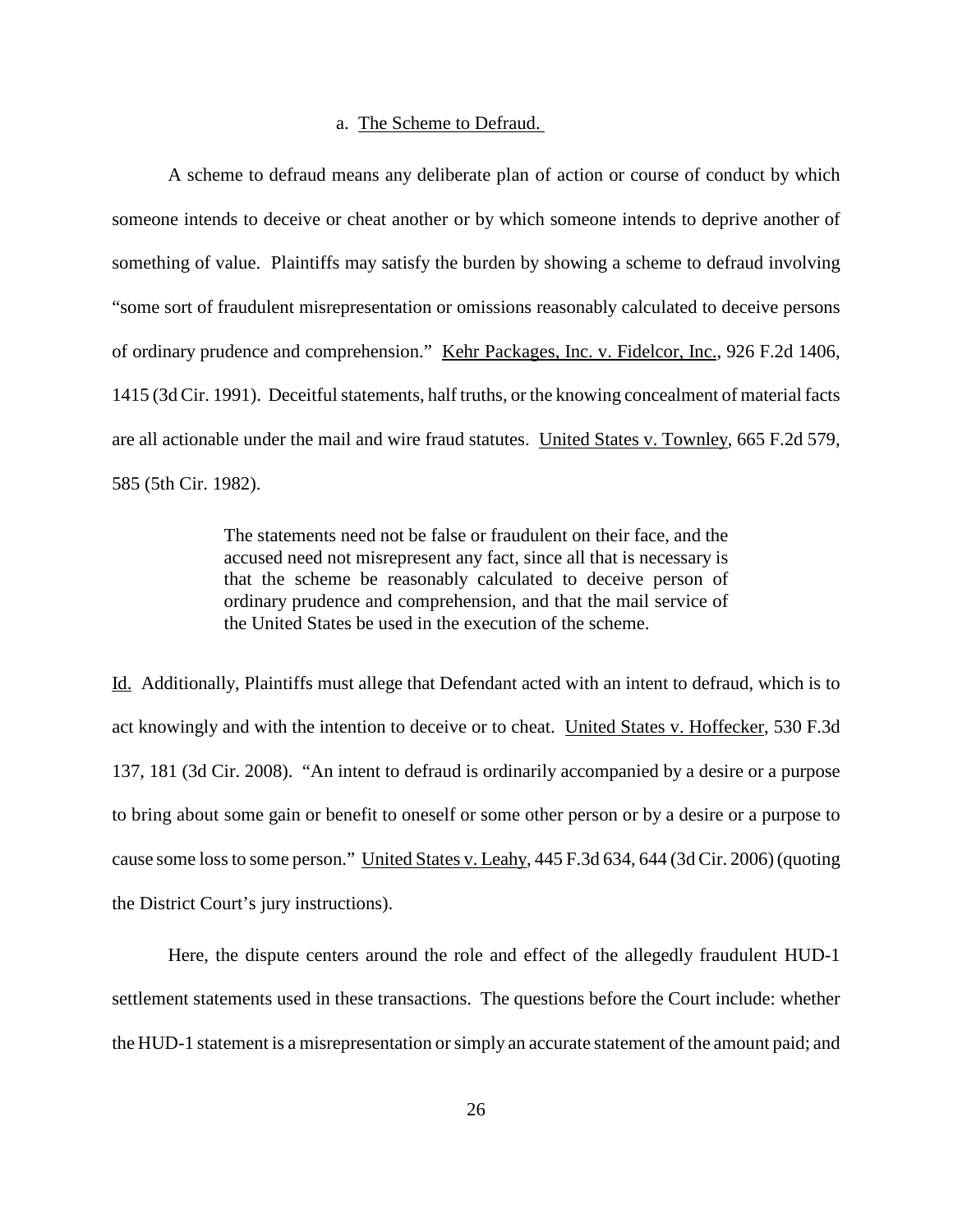### a. The Scheme to Defraud.

A scheme to defraud means any deliberate plan of action or course of conduct by which someone intends to deceive or cheat another or by which someone intends to deprive another of something of value. Plaintiffs may satisfy the burden by showing a scheme to defraud involving "some sort of fraudulent misrepresentation or omissions reasonably calculated to deceive persons of ordinary prudence and comprehension." Kehr Packages, Inc. v. Fidelcor, Inc., 926 F.2d 1406, 1415 (3d Cir. 1991). Deceitful statements, half truths, or the knowing concealment of material facts are all actionable under the mail and wire fraud statutes. United States v. Townley, 665 F.2d 579, 585 (5th Cir. 1982).

> The statements need not be false or fraudulent on their face, and the accused need not misrepresent any fact, since all that is necessary is that the scheme be reasonably calculated to deceive person of ordinary prudence and comprehension, and that the mail service of the United States be used in the execution of the scheme.

Id. Additionally, Plaintiffs must allege that Defendant acted with an intent to defraud, which is to act knowingly and with the intention to deceive or to cheat. United States v. Hoffecker, 530 F.3d 137, 181 (3d Cir. 2008). "An intent to defraud is ordinarily accompanied by a desire or a purpose to bring about some gain or benefit to oneself or some other person or by a desire or a purpose to cause some lossto some person." United States v. Leahy, 445 F.3d 634, 644 (3d Cir. 2006) (quoting the District Court's jury instructions).

Here, the dispute centers around the role and effect of the allegedly fraudulent HUD-1 settlement statements used in these transactions. The questions before the Court include: whether the HUD-1 statement is a misrepresentation or simply an accurate statement of the amount paid; and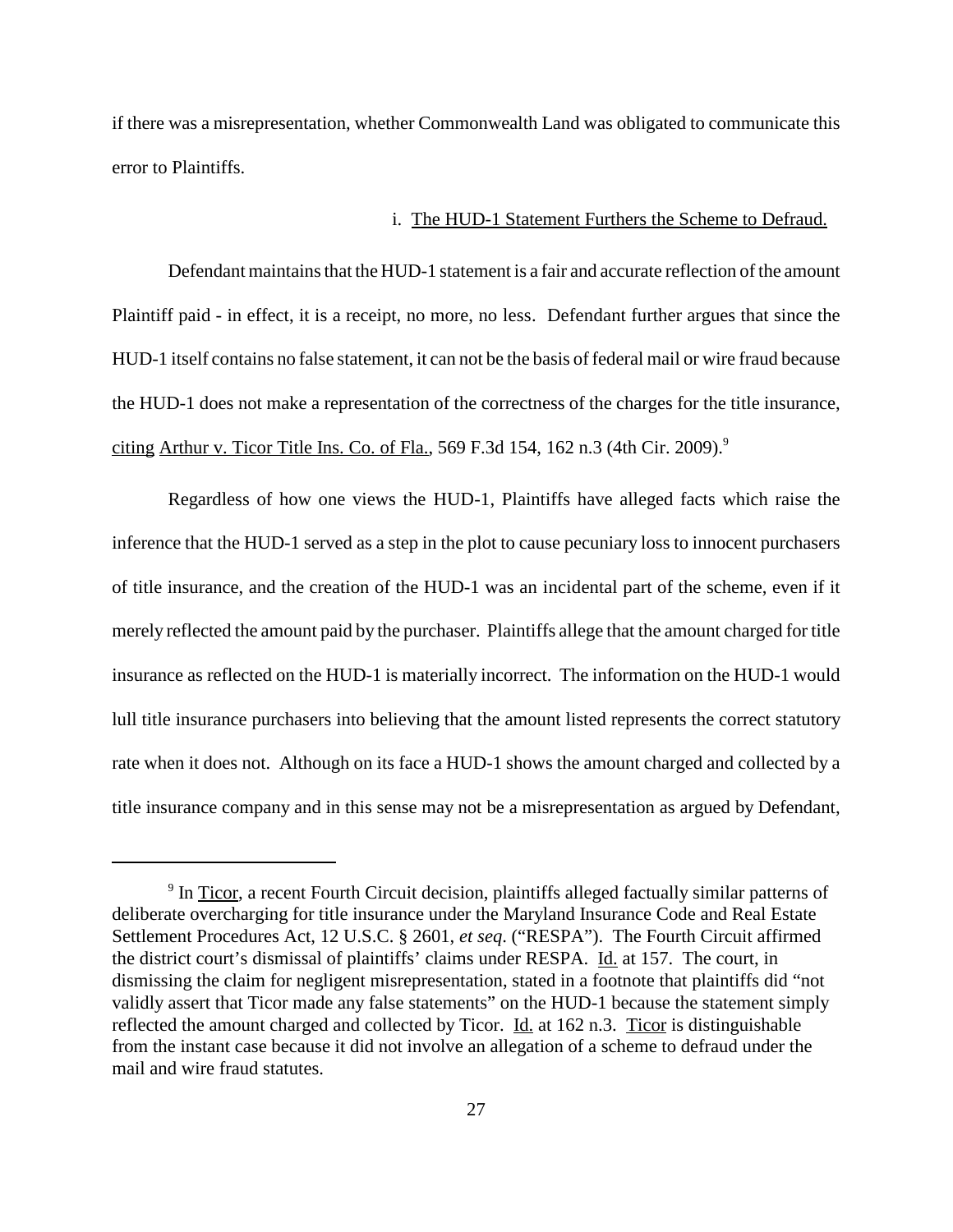if there was a misrepresentation, whether Commonwealth Land was obligated to communicate this error to Plaintiffs.

### i. The HUD-1 Statement Furthers the Scheme to Defraud.

Defendant maintains that the HUD-1 statement is a fair and accurate reflection of the amount Plaintiff paid - in effect, it is a receipt, no more, no less. Defendant further argues that since the HUD-1 itself contains no false statement, it can not be the basis of federal mail or wire fraud because the HUD-1 does not make a representation of the correctness of the charges for the title insurance, citing Arthur v. Ticor Title Ins. Co. of Fla., 569 F.3d 154, 162 n.3 (4th Cir. 2009). 9

Regardless of how one views the HUD-1, Plaintiffs have alleged facts which raise the inference that the HUD-1 served as a step in the plot to cause pecuniary loss to innocent purchasers of title insurance, and the creation of the HUD-1 was an incidental part of the scheme, even if it merely reflected the amount paid by the purchaser. Plaintiffs allege that the amount charged for title insurance as reflected on the HUD-1 is materially incorrect. The information on the HUD-1 would lull title insurance purchasers into believing that the amount listed represents the correct statutory rate when it does not. Although on its face a HUD-1 shows the amount charged and collected by a title insurance company and in this sense may not be a misrepresentation as argued by Defendant,

<sup>&</sup>lt;sup>9</sup> In Ticor, a recent Fourth Circuit decision, plaintiffs alleged factually similar patterns of deliberate overcharging for title insurance under the Maryland Insurance Code and Real Estate Settlement Procedures Act, 12 U.S.C. § 2601, *et seq*. ("RESPA"). The Fourth Circuit affirmed the district court's dismissal of plaintiffs' claims under RESPA. Id. at 157. The court, in dismissing the claim for negligent misrepresentation, stated in a footnote that plaintiffs did "not validly assert that Ticor made any false statements" on the HUD-1 because the statement simply reflected the amount charged and collected by Ticor. Id. at 162 n.3. Ticor is distinguishable from the instant case because it did not involve an allegation of a scheme to defraud under the mail and wire fraud statutes.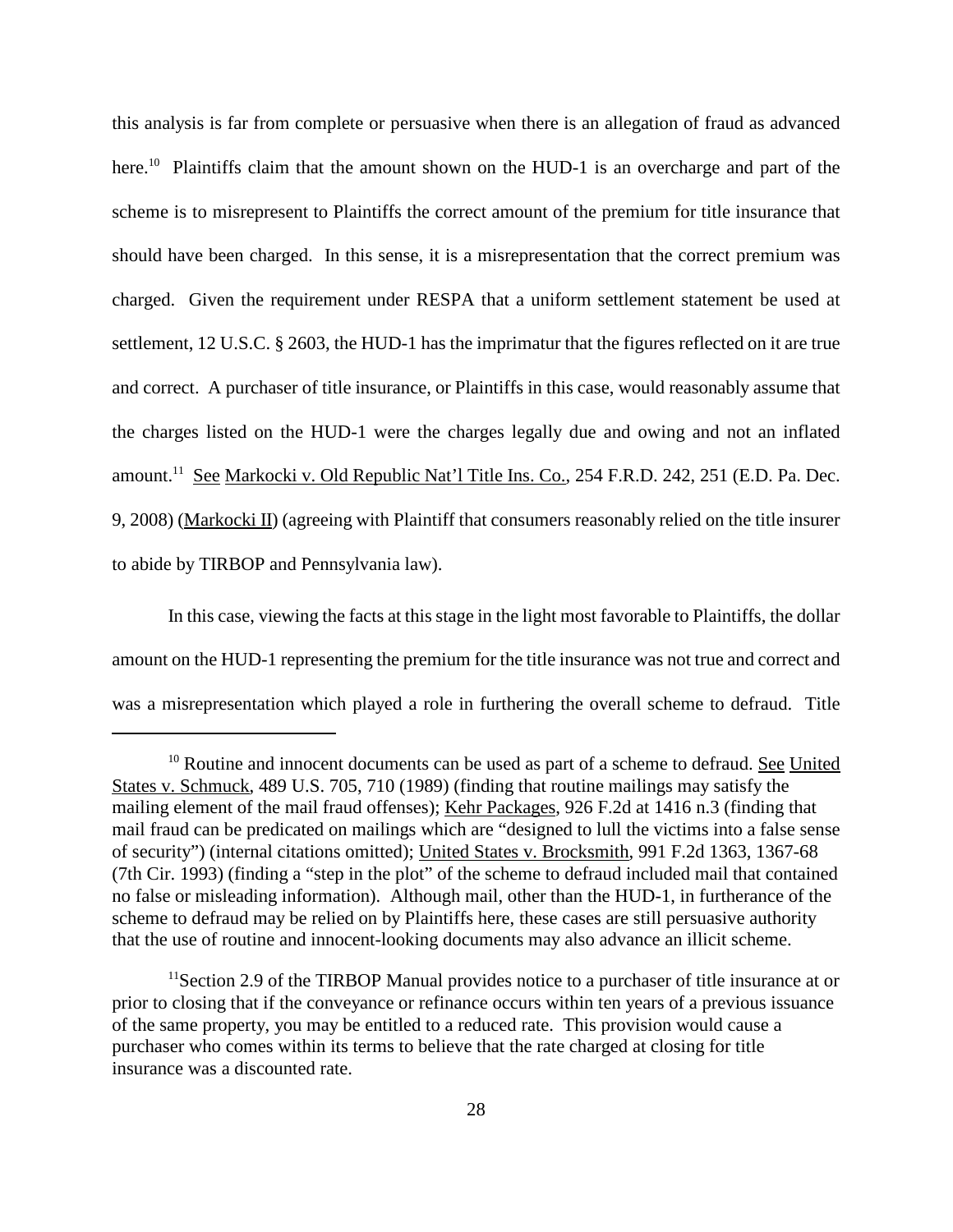this analysis is far from complete or persuasive when there is an allegation of fraud as advanced here.<sup>10</sup> Plaintiffs claim that the amount shown on the HUD-1 is an overcharge and part of the scheme is to misrepresent to Plaintiffs the correct amount of the premium for title insurance that should have been charged. In this sense, it is a misrepresentation that the correct premium was charged. Given the requirement under RESPA that a uniform settlement statement be used at settlement, 12 U.S.C. § 2603, the HUD-1 has the imprimatur that the figures reflected on it are true and correct. A purchaser of title insurance, or Plaintiffs in this case, would reasonably assume that the charges listed on the HUD-1 were the charges legally due and owing and not an inflated amount.<sup>11</sup> See Markocki v. Old Republic Nat'l Title Ins. Co., 254 F.R.D. 242, 251 (E.D. Pa. Dec. 9, 2008) (Markocki II) (agreeing with Plaintiff that consumers reasonably relied on the title insurer to abide by TIRBOP and Pennsylvania law).

In this case, viewing the facts at this stage in the light most favorable to Plaintiffs, the dollar amount on the HUD-1 representing the premium for the title insurance was not true and correct and was a misrepresentation which played a role in furthering the overall scheme to defraud. Title

<sup>&</sup>lt;sup>10</sup> Routine and innocent documents can be used as part of a scheme to defraud. See United States v. Schmuck, 489 U.S. 705, 710 (1989) (finding that routine mailings may satisfy the mailing element of the mail fraud offenses); Kehr Packages, 926 F.2d at 1416 n.3 (finding that mail fraud can be predicated on mailings which are "designed to lull the victims into a false sense of security") (internal citations omitted); United States v. Brocksmith, 991 F.2d 1363, 1367-68 (7th Cir. 1993) (finding a "step in the plot" of the scheme to defraud included mail that contained no false or misleading information). Although mail, other than the HUD-1, in furtherance of the scheme to defraud may be relied on by Plaintiffs here, these cases are still persuasive authority that the use of routine and innocent-looking documents may also advance an illicit scheme.

<sup>&</sup>lt;sup>11</sup> Section 2.9 of the TIRBOP Manual provides notice to a purchaser of title insurance at or prior to closing that if the conveyance or refinance occurs within ten years of a previous issuance of the same property, you may be entitled to a reduced rate. This provision would cause a purchaser who comes within its terms to believe that the rate charged at closing for title insurance was a discounted rate.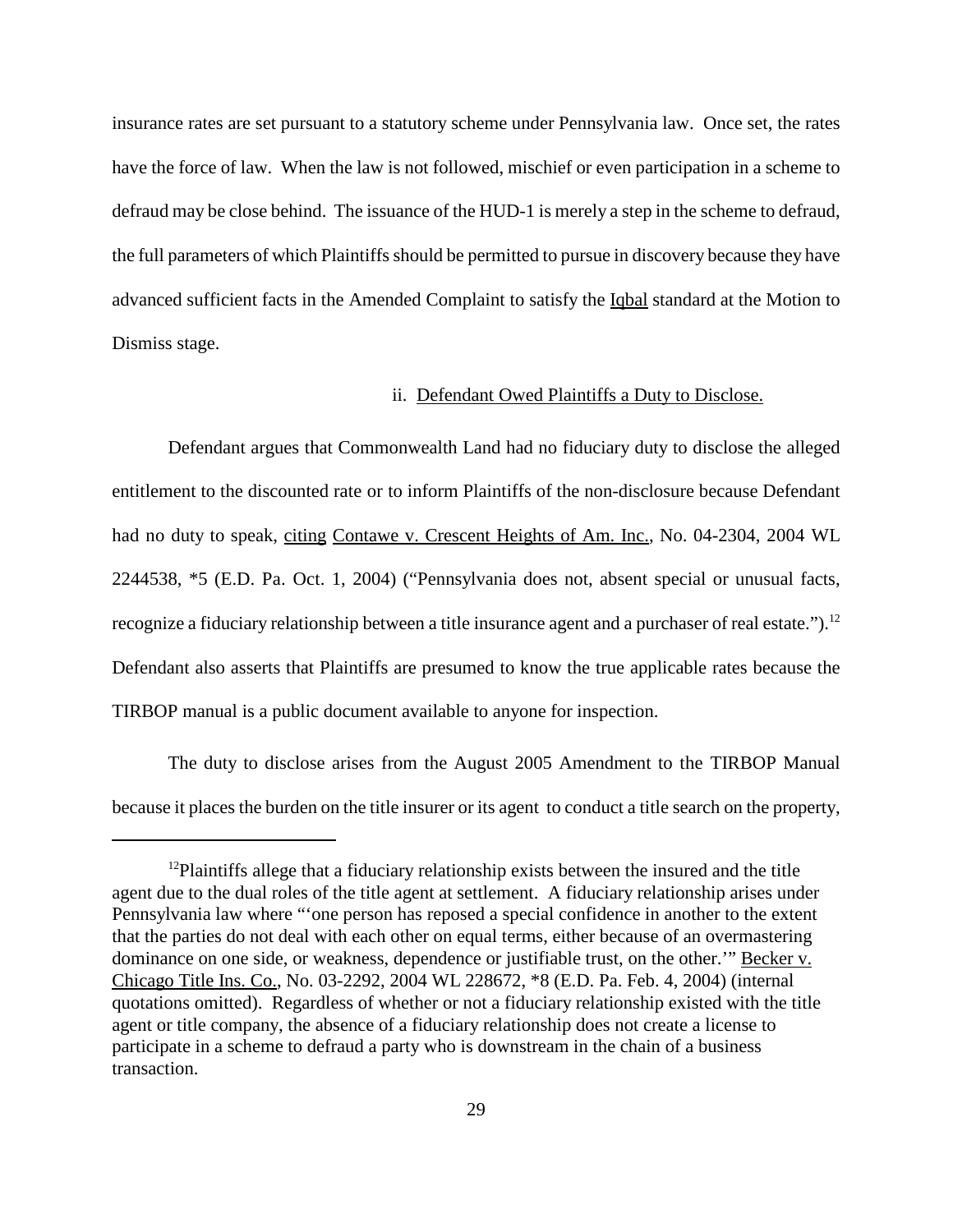insurance rates are set pursuant to a statutory scheme under Pennsylvania law. Once set, the rates have the force of law. When the law is not followed, mischief or even participation in a scheme to defraud may be close behind. The issuance of the HUD-1 is merely a step in the scheme to defraud, the full parameters of which Plaintiffs should be permitted to pursue in discovery because they have advanced sufficient facts in the Amended Complaint to satisfy the Iqbal standard at the Motion to Dismiss stage.

### ii. Defendant Owed Plaintiffs a Duty to Disclose.

Defendant argues that Commonwealth Land had no fiduciary duty to disclose the alleged entitlement to the discounted rate or to inform Plaintiffs of the non-disclosure because Defendant had no duty to speak, citing Contawe v. Crescent Heights of Am. Inc., No. 04-2304, 2004 WL 2244538, \*5 (E.D. Pa. Oct. 1, 2004) ("Pennsylvania does not, absent special or unusual facts, recognize a fiduciary relationship between a title insurance agent and a purchaser of real estate.").<sup>12</sup> Defendant also asserts that Plaintiffs are presumed to know the true applicable rates because the TIRBOP manual is a public document available to anyone for inspection.

The duty to disclose arises from the August 2005 Amendment to the TIRBOP Manual because it places the burden on the title insurer or its agent to conduct a title search on the property,

<sup>&</sup>lt;sup>12</sup>Plaintiffs allege that a fiduciary relationship exists between the insured and the title agent due to the dual roles of the title agent at settlement. A fiduciary relationship arises under Pennsylvania law where "'one person has reposed a special confidence in another to the extent that the parties do not deal with each other on equal terms, either because of an overmastering dominance on one side, or weakness, dependence or justifiable trust, on the other.'" Becker v. Chicago Title Ins. Co., No. 03-2292, 2004 WL 228672, \*8 (E.D. Pa. Feb. 4, 2004) (internal quotations omitted). Regardless of whether or not a fiduciary relationship existed with the title agent or title company, the absence of a fiduciary relationship does not create a license to participate in a scheme to defraud a party who is downstream in the chain of a business transaction.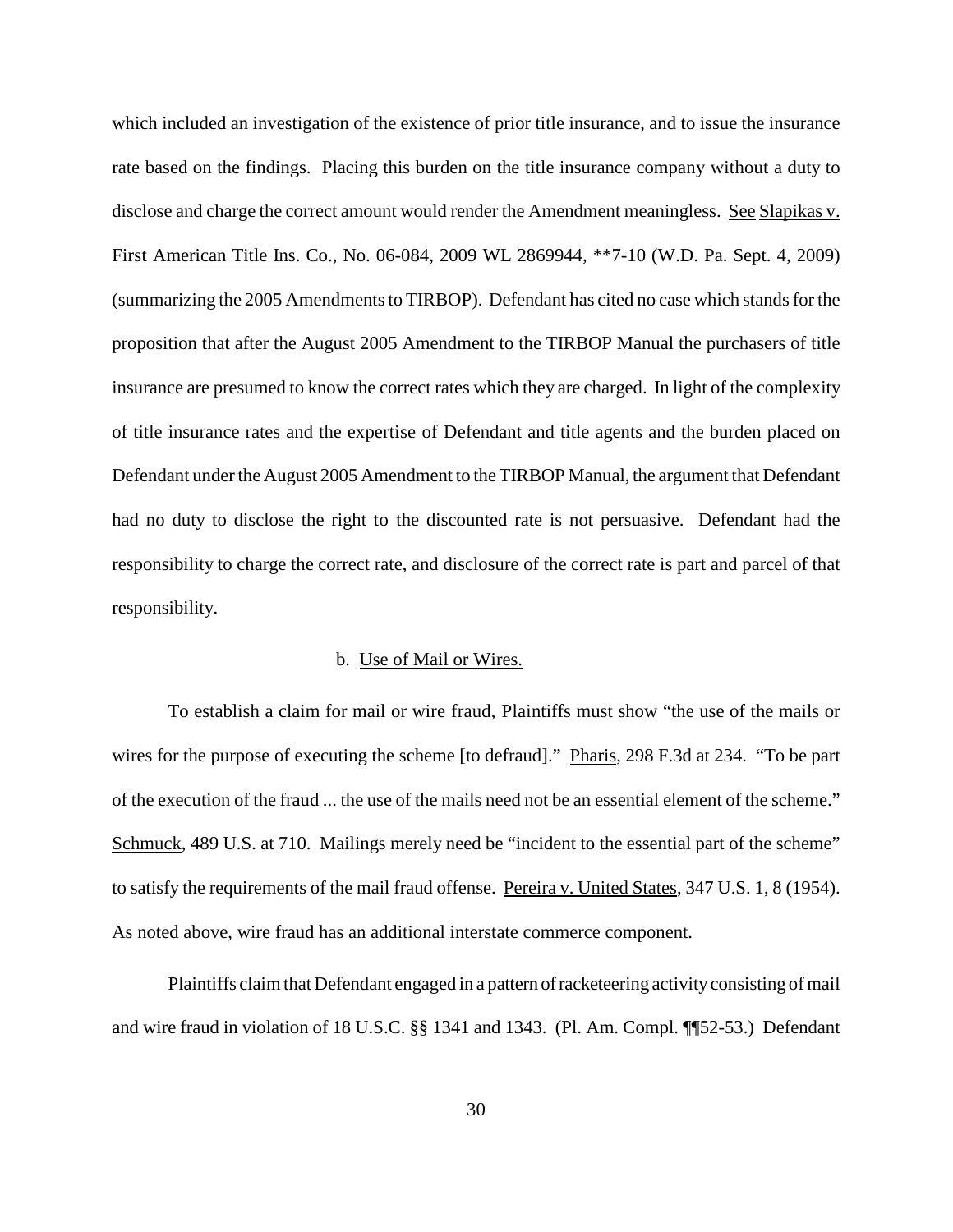which included an investigation of the existence of prior title insurance, and to issue the insurance rate based on the findings. Placing this burden on the title insurance company without a duty to disclose and charge the correct amount would render the Amendment meaningless. See Slapikas v. First American Title Ins. Co., No. 06-084, 2009 WL 2869944, \*\*7-10 (W.D. Pa. Sept. 4, 2009) (summarizing the 2005 Amendments to TIRBOP). Defendant has cited no case which stands for the proposition that after the August 2005 Amendment to the TIRBOP Manual the purchasers of title insurance are presumed to know the correct rates which they are charged. In light of the complexity of title insurance rates and the expertise of Defendant and title agents and the burden placed on Defendant under the August 2005 Amendment to the TIRBOP Manual, the argument that Defendant had no duty to disclose the right to the discounted rate is not persuasive. Defendant had the responsibility to charge the correct rate, and disclosure of the correct rate is part and parcel of that responsibility.

### b. Use of Mail or Wires.

To establish a claim for mail or wire fraud, Plaintiffs must show "the use of the mails or wires for the purpose of executing the scheme [to defraud]." Pharis, 298 F.3d at 234. "To be part of the execution of the fraud ... the use of the mails need not be an essential element of the scheme." Schmuck, 489 U.S. at 710. Mailings merely need be "incident to the essential part of the scheme" to satisfy the requirements of the mail fraud offense. Pereira v. United States, 347 U.S. 1, 8 (1954). As noted above, wire fraud has an additional interstate commerce component.

Plaintiffs claim that Defendant engaged in a pattern of racketeering activity consisting of mail and wire fraud in violation of 18 U.S.C. §§ 1341 and 1343. (Pl. Am. Compl. ¶¶52-53.) Defendant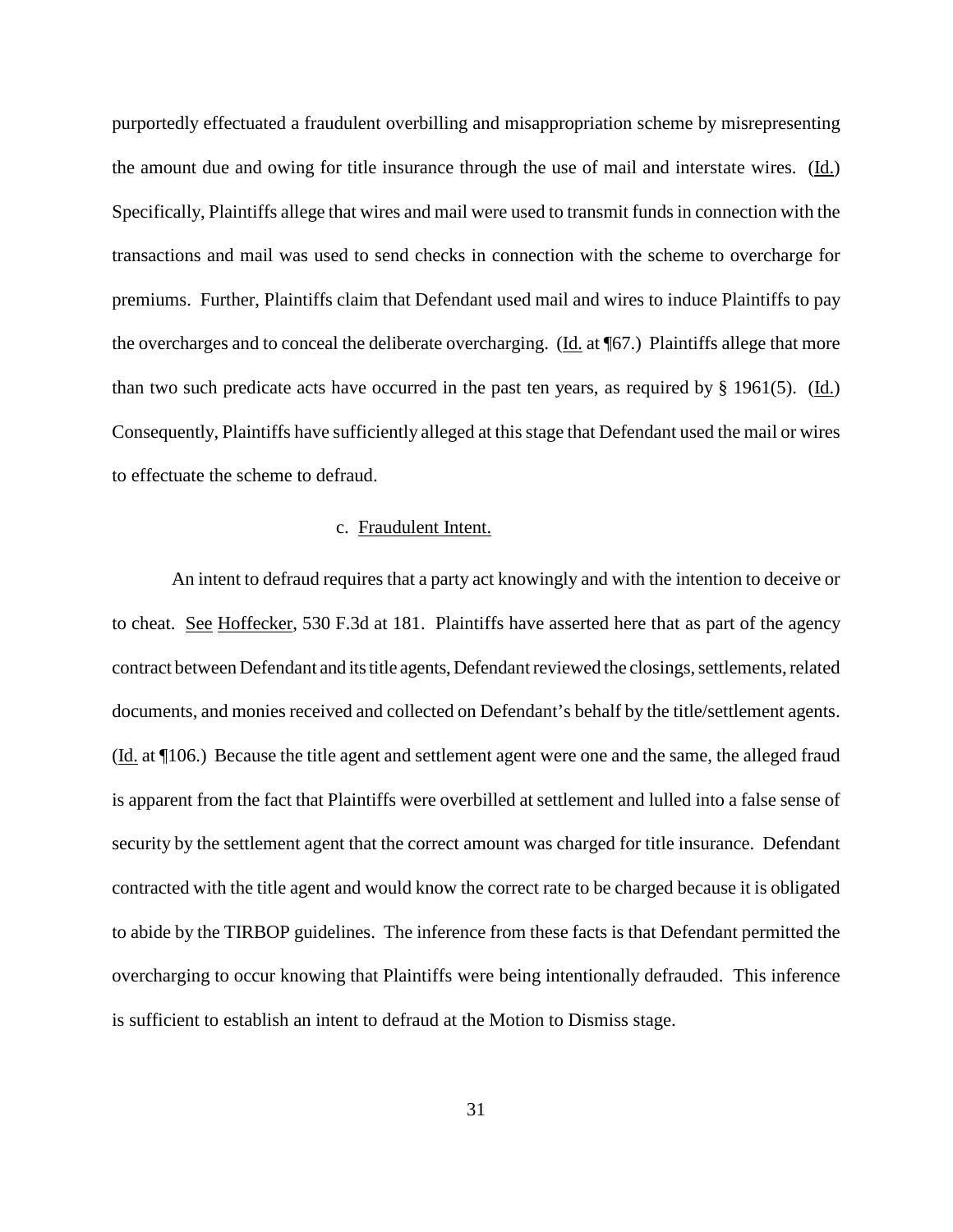purportedly effectuated a fraudulent overbilling and misappropriation scheme by misrepresenting the amount due and owing for title insurance through the use of mail and interstate wires. (Id.) Specifically, Plaintiffs allege that wires and mail were used to transmit fundsin connection with the transactions and mail was used to send checks in connection with the scheme to overcharge for premiums. Further, Plaintiffs claim that Defendant used mail and wires to induce Plaintiffs to pay the overcharges and to conceal the deliberate overcharging. (Id. at ¶67.) Plaintiffs allege that more than two such predicate acts have occurred in the past ten years, as required by § 1961(5). (Id.) Consequently, Plaintiffs have sufficiently alleged at this stage that Defendant used the mail or wires to effectuate the scheme to defraud.

### c. Fraudulent Intent.

An intent to defraud requires that a party act knowingly and with the intention to deceive or to cheat. See Hoffecker, 530 F.3d at 181. Plaintiffs have asserted here that as part of the agency contract between Defendant and its title agents, Defendant reviewed the closings, settlements, related documents, and monies received and collected on Defendant's behalf by the title/settlement agents. (Id. at ¶106.) Because the title agent and settlement agent were one and the same, the alleged fraud is apparent from the fact that Plaintiffs were overbilled at settlement and lulled into a false sense of security by the settlement agent that the correct amount was charged for title insurance. Defendant contracted with the title agent and would know the correct rate to be charged because it is obligated to abide by the TIRBOP guidelines. The inference from these facts is that Defendant permitted the overcharging to occur knowing that Plaintiffs were being intentionally defrauded. This inference is sufficient to establish an intent to defraud at the Motion to Dismiss stage.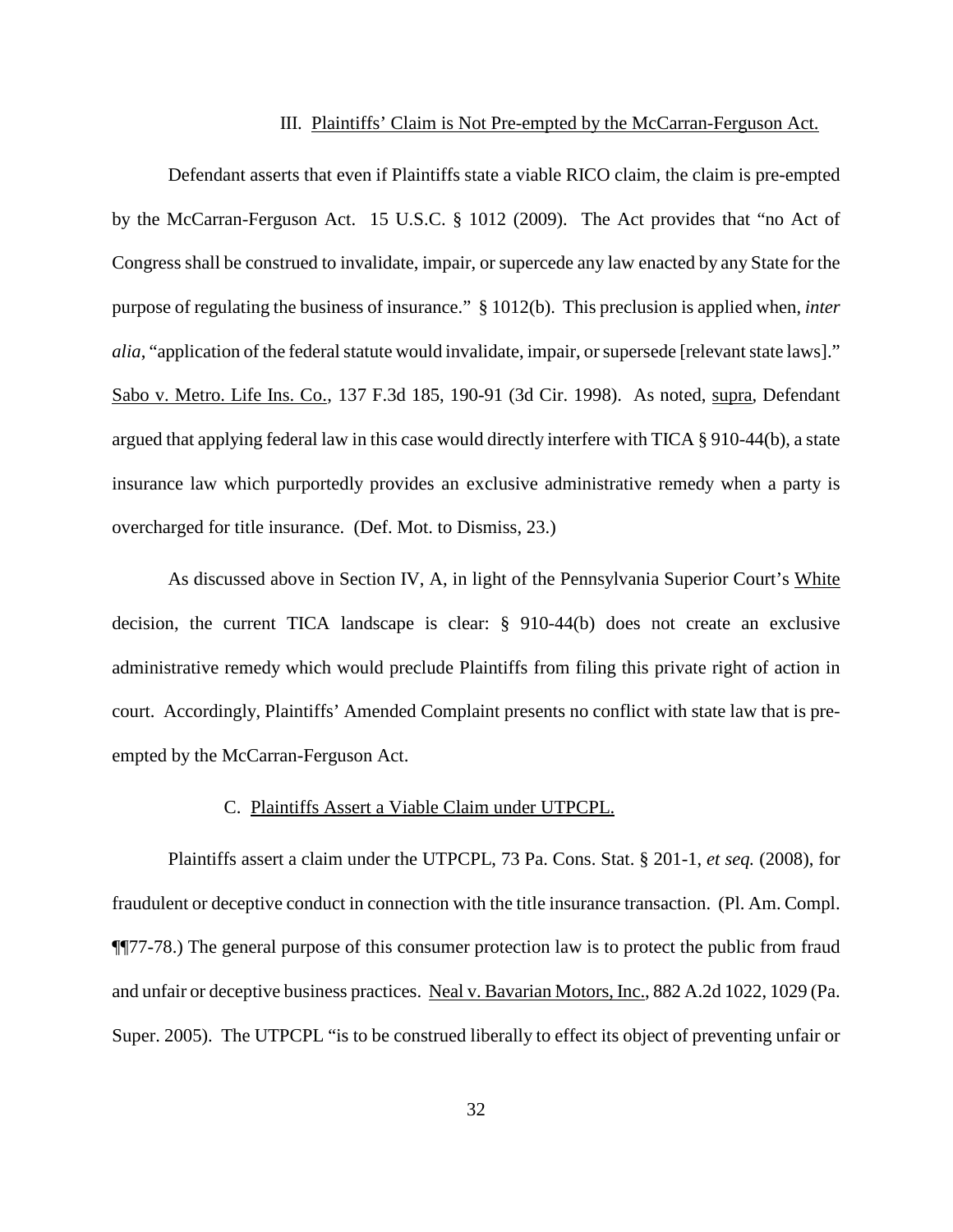#### III. Plaintiffs' Claim is Not Pre-empted by the McCarran-Ferguson Act.

Defendant asserts that even if Plaintiffs state a viable RICO claim, the claim is pre-empted by the McCarran-Ferguson Act. 15 U.S.C. § 1012 (2009). The Act provides that "no Act of Congress shall be construed to invalidate, impair, or supercede any law enacted by any State for the purpose of regulating the business of insurance." § 1012(b). This preclusion is applied when, *inter alia*, "application of the federal statute would invalidate, impair, or supersede [relevant state laws]." Sabo v. Metro. Life Ins. Co., 137 F.3d 185, 190-91 (3d Cir. 1998). As noted, supra, Defendant argued that applying federal law in this case would directly interfere with TICA § 910-44(b), a state insurance law which purportedly provides an exclusive administrative remedy when a party is overcharged for title insurance. (Def. Mot. to Dismiss, 23.)

As discussed above in Section IV, A, in light of the Pennsylvania Superior Court's White decision, the current TICA landscape is clear: § 910-44(b) does not create an exclusive administrative remedy which would preclude Plaintiffs from filing this private right of action in court. Accordingly, Plaintiffs' Amended Complaint presents no conflict with state law that is preempted by the McCarran-Ferguson Act.

### C. Plaintiffs Assert a Viable Claim under UTPCPL.

Plaintiffs assert a claim under the UTPCPL, 73 Pa. Cons. Stat. § 201-1, *et seq.* (2008), for fraudulent or deceptive conduct in connection with the title insurance transaction. (Pl. Am. Compl. ¶¶77-78.) The general purpose of this consumer protection law is to protect the public from fraud and unfair or deceptive business practices. Neal v. Bavarian Motors, Inc., 882 A.2d 1022, 1029 (Pa. Super. 2005). The UTPCPL "is to be construed liberally to effect its object of preventing unfair or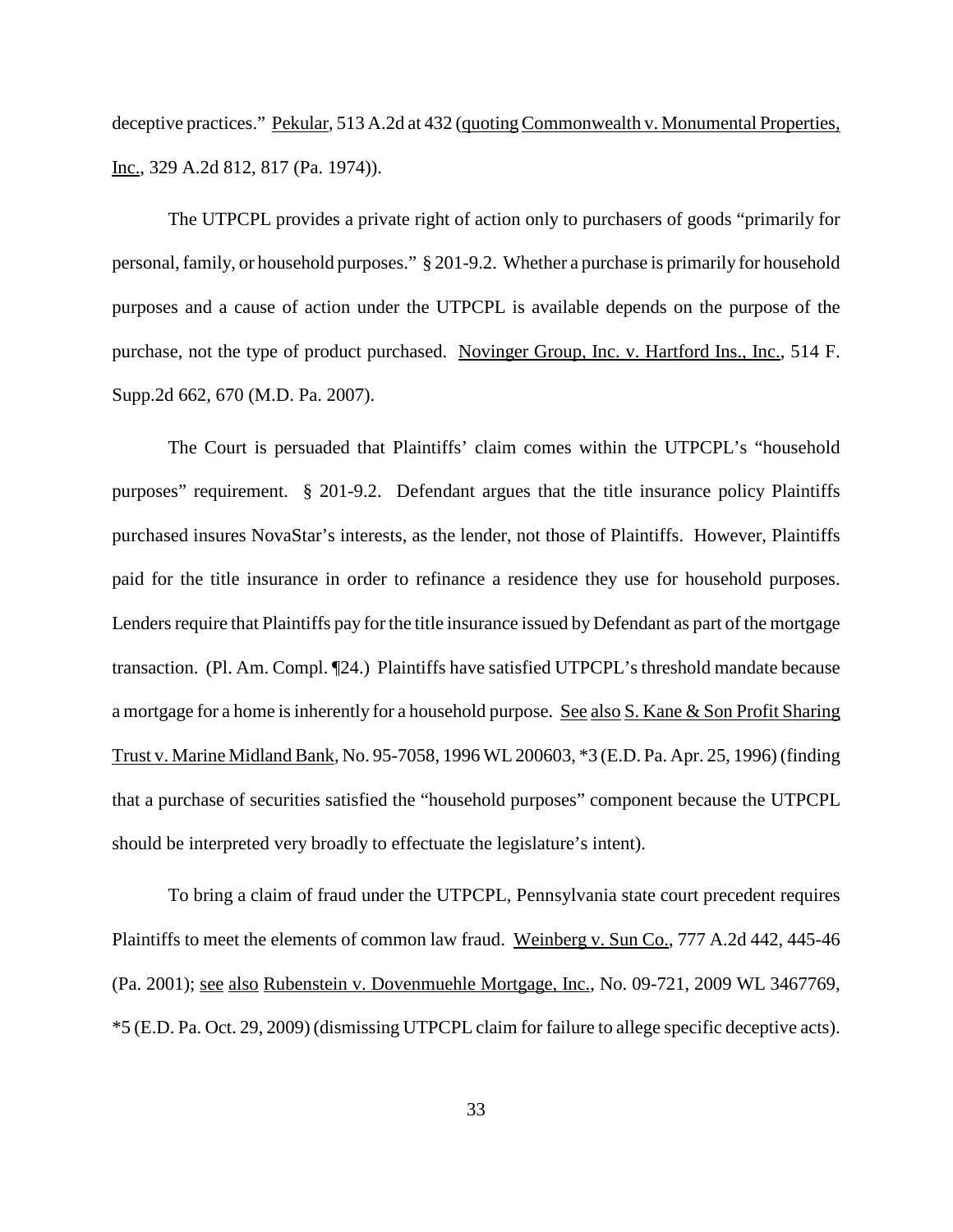deceptive practices." Pekular, 513 A.2d at 432 (quoting Commonwealth v. Monumental Properties, Inc., 329 A.2d 812, 817 (Pa. 1974)).

The UTPCPL provides a private right of action only to purchasers of goods "primarily for personal, family, or household purposes." § 201-9.2. Whether a purchase is primarily for household purposes and a cause of action under the UTPCPL is available depends on the purpose of the purchase, not the type of product purchased. Novinger Group, Inc. v. Hartford Ins., Inc., 514 F. Supp.2d 662, 670 (M.D. Pa. 2007).

The Court is persuaded that Plaintiffs' claim comes within the UTPCPL's "household purposes" requirement. § 201-9.2. Defendant argues that the title insurance policy Plaintiffs purchased insures NovaStar's interests, as the lender, not those of Plaintiffs. However, Plaintiffs paid for the title insurance in order to refinance a residence they use for household purposes. Lenders require that Plaintiffs pay for the title insurance issued by Defendant as part of the mortgage transaction. (Pl. Am. Compl. ¶24.) Plaintiffs have satisfied UTPCPL's threshold mandate because a mortgage for a home is inherently for a household purpose. See also S. Kane & Son Profit Sharing Trust v. Marine Midland Bank, No. 95-7058, 1996 WL200603, \*3 (E.D. Pa. Apr. 25, 1996) (finding that a purchase of securities satisfied the "household purposes" component because the UTPCPL should be interpreted very broadly to effectuate the legislature's intent).

To bring a claim of fraud under the UTPCPL, Pennsylvania state court precedent requires Plaintiffs to meet the elements of common law fraud. Weinberg v. Sun Co., 777 A.2d 442, 445-46 (Pa. 2001); see also Rubenstein v. Dovenmuehle Mortgage, Inc., No. 09-721, 2009 WL 3467769, \*5 (E.D. Pa. Oct. 29, 2009) (dismissing UTPCPL claim for failure to allege specific deceptive acts).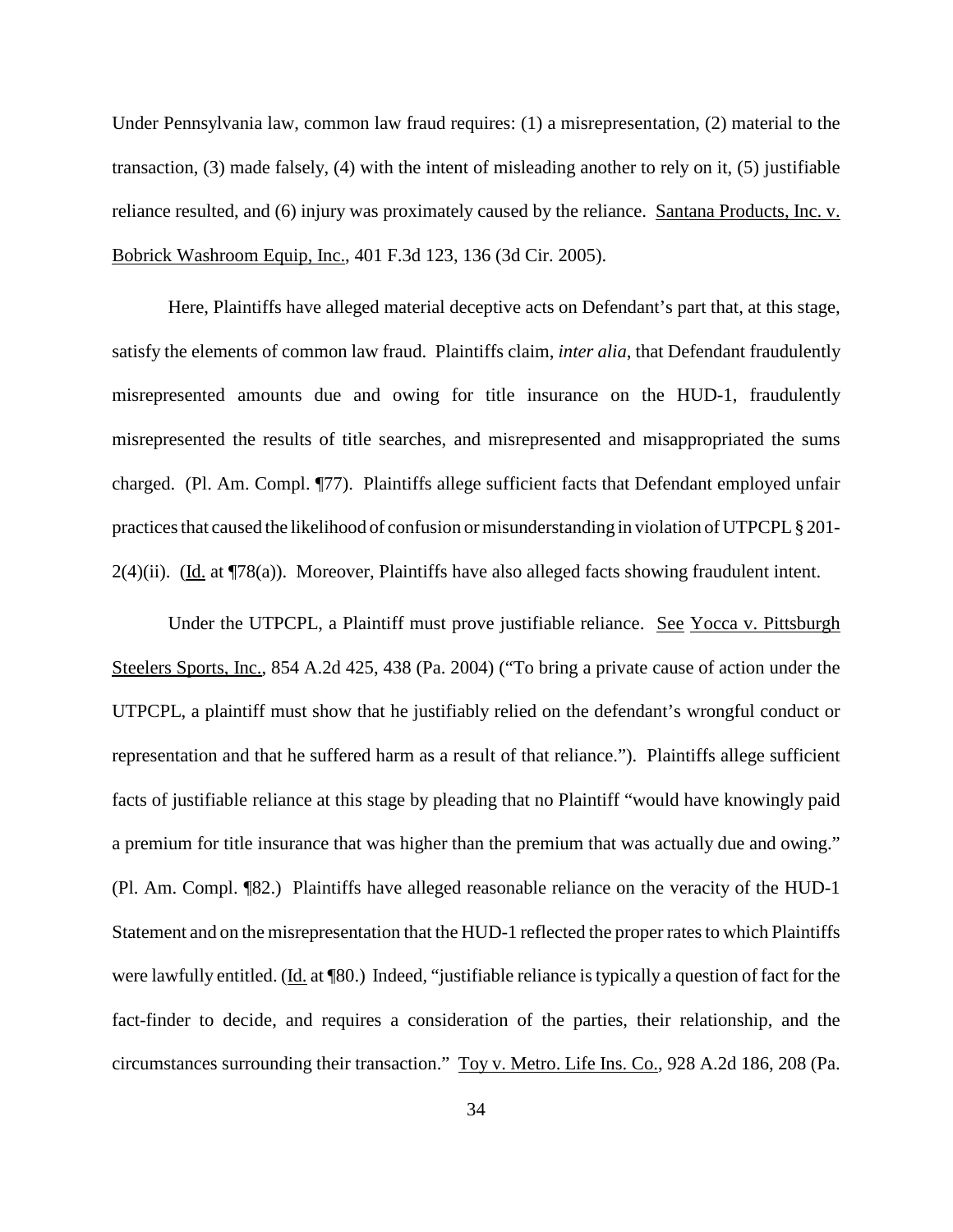Under Pennsylvania law, common law fraud requires: (1) a misrepresentation, (2) material to the transaction, (3) made falsely, (4) with the intent of misleading another to rely on it, (5) justifiable reliance resulted, and (6) injury was proximately caused by the reliance. Santana Products, Inc. v. Bobrick Washroom Equip, Inc., 401 F.3d 123, 136 (3d Cir. 2005).

Here, Plaintiffs have alleged material deceptive acts on Defendant's part that, at this stage, satisfy the elements of common law fraud. Plaintiffs claim, *inter alia*, that Defendant fraudulently misrepresented amounts due and owing for title insurance on the HUD-1, fraudulently misrepresented the results of title searches, and misrepresented and misappropriated the sums charged. (Pl. Am. Compl. ¶77). Plaintiffs allege sufficient facts that Defendant employed unfair practices that caused the likelihood of confusion or misunderstanding in violation of UTPCPL § 201- $2(4)$ (ii). (Id. at ¶78(a)). Moreover, Plaintiffs have also alleged facts showing fraudulent intent.

Under the UTPCPL, a Plaintiff must prove justifiable reliance. See Yocca v. Pittsburgh Steelers Sports, Inc., 854 A.2d 425, 438 (Pa. 2004) ("To bring a private cause of action under the UTPCPL, a plaintiff must show that he justifiably relied on the defendant's wrongful conduct or representation and that he suffered harm as a result of that reliance."). Plaintiffs allege sufficient facts of justifiable reliance at this stage by pleading that no Plaintiff "would have knowingly paid a premium for title insurance that was higher than the premium that was actually due and owing." (Pl. Am. Compl. ¶82.) Plaintiffs have alleged reasonable reliance on the veracity of the HUD-1 Statement and on the misrepresentation that the HUD-1 reflected the proper ratesto which Plaintiffs were lawfully entitled. (Id. at ¶80.) Indeed, "justifiable reliance is typically a question of fact for the fact-finder to decide, and requires a consideration of the parties, their relationship, and the circumstances surrounding their transaction." Toy v. Metro. Life Ins. Co., 928 A.2d 186, 208 (Pa.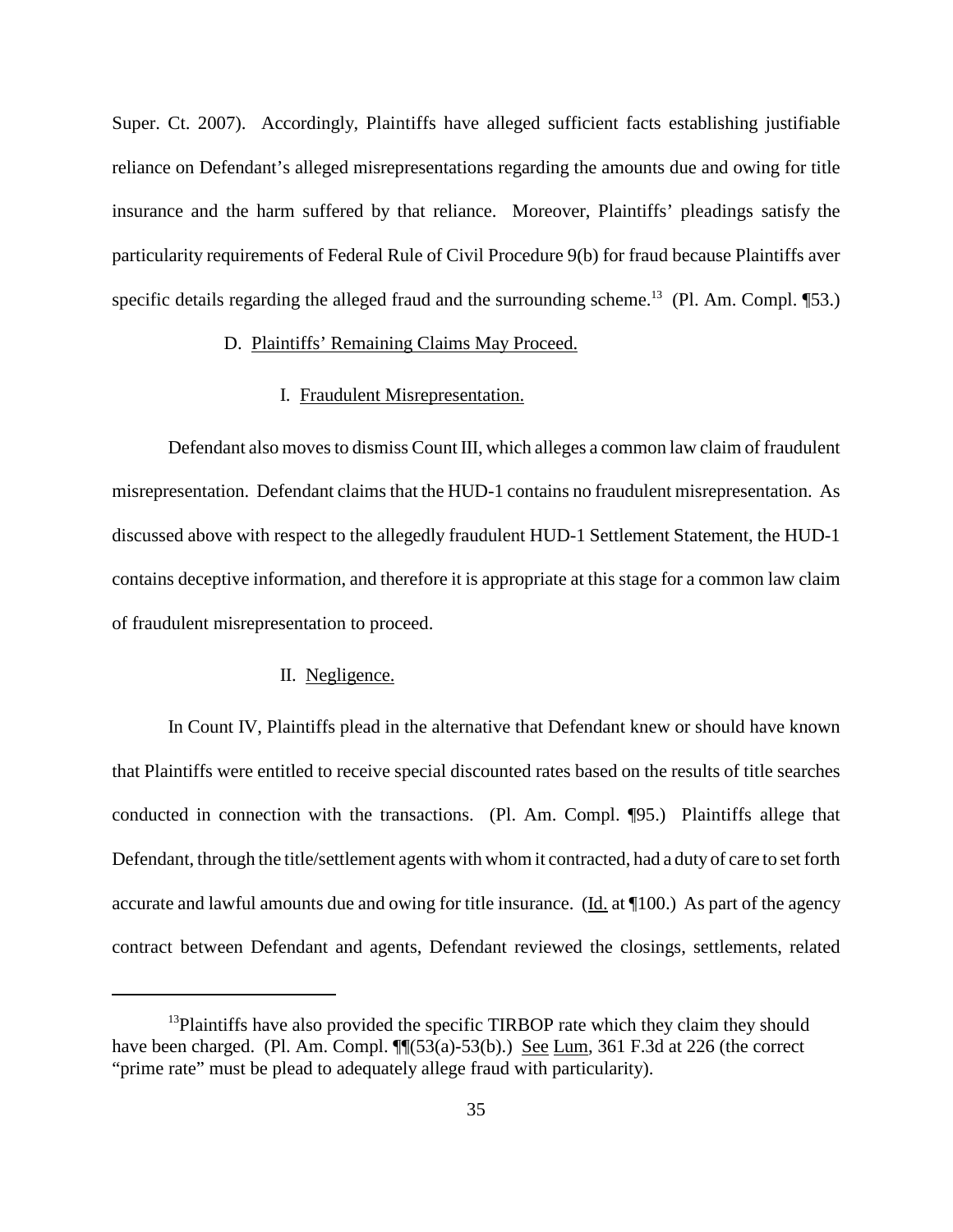Super. Ct. 2007). Accordingly, Plaintiffs have alleged sufficient facts establishing justifiable reliance on Defendant's alleged misrepresentations regarding the amounts due and owing for title insurance and the harm suffered by that reliance. Moreover, Plaintiffs' pleadings satisfy the particularity requirements of Federal Rule of Civil Procedure 9(b) for fraud because Plaintiffs aver specific details regarding the alleged fraud and the surrounding scheme.<sup>13</sup> (Pl. Am. Compl. [53.)

# D. Plaintiffs' Remaining Claims May Proceed.

### I. Fraudulent Misrepresentation.

Defendant also moves to dismiss Count III, which alleges a common law claim of fraudulent misrepresentation. Defendant claims that the HUD-1 contains no fraudulent misrepresentation. As discussed above with respect to the allegedly fraudulent HUD-1 Settlement Statement, the HUD-1 contains deceptive information, and therefore it is appropriate at this stage for a common law claim of fraudulent misrepresentation to proceed.

### II. Negligence.

In Count IV, Plaintiffs plead in the alternative that Defendant knew or should have known that Plaintiffs were entitled to receive special discounted rates based on the results of title searches conducted in connection with the transactions. (Pl. Am. Compl. ¶95.) Plaintiffs allege that Defendant, through the title/settlement agents with whom it contracted, had a duty of care to set forth accurate and lawful amounts due and owing for title insurance. ( $\underline{Id}$  at  $\P$ 100.) As part of the agency contract between Defendant and agents, Defendant reviewed the closings, settlements, related

<sup>&</sup>lt;sup>13</sup>Plaintiffs have also provided the specific TIRBOP rate which they claim they should have been charged. (Pl. Am. Compl.  $\P$  $(53(a)-53(b))$ .) See Lum, 361 F.3d at 226 (the correct "prime rate" must be plead to adequately allege fraud with particularity).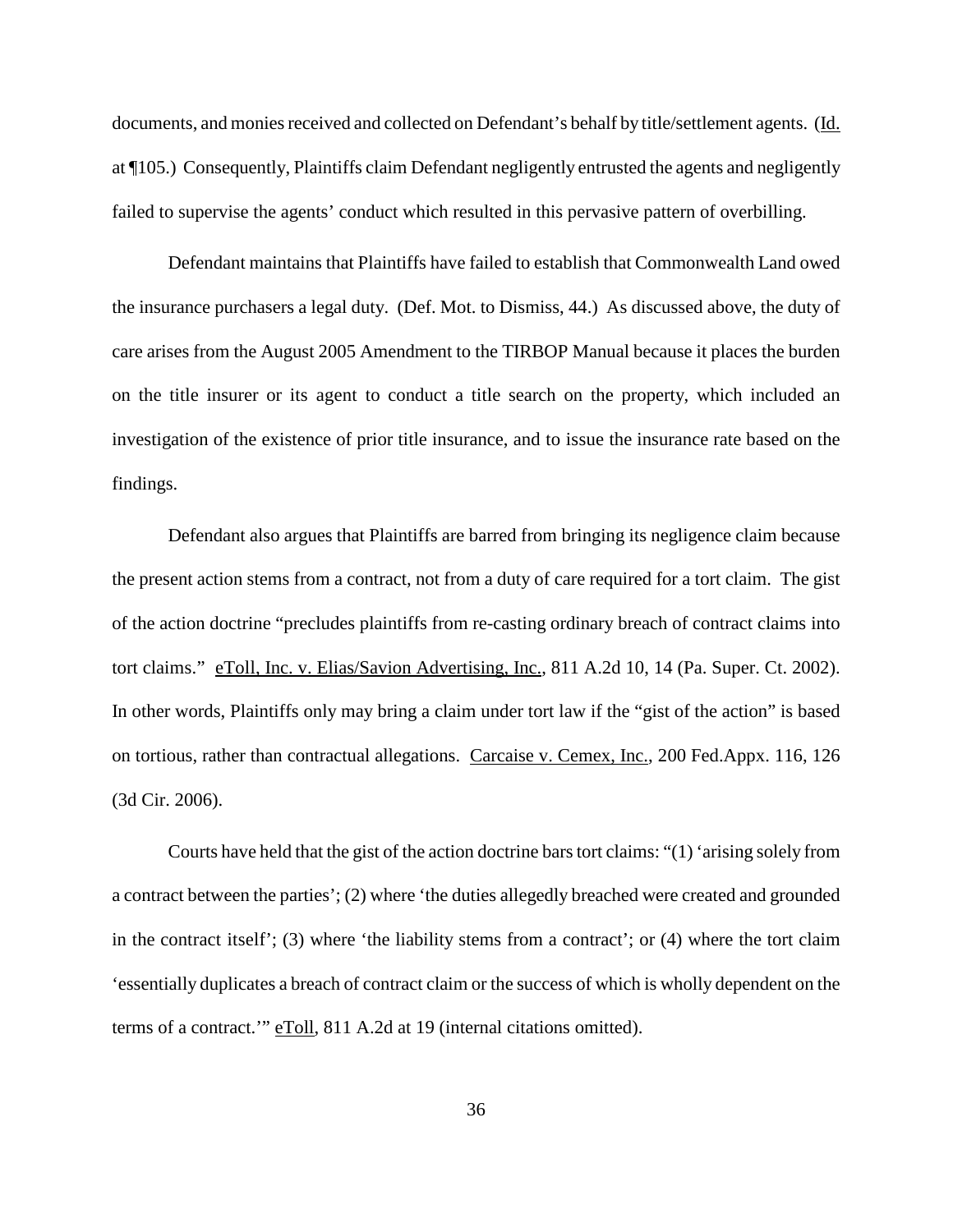documents, and monies received and collected on Defendant's behalf by title/settlement agents. (Id. at ¶105.) Consequently, Plaintiffs claim Defendant negligently entrusted the agents and negligently failed to supervise the agents' conduct which resulted in this pervasive pattern of overbilling.

Defendant maintains that Plaintiffs have failed to establish that Commonwealth Land owed the insurance purchasers a legal duty. (Def. Mot. to Dismiss, 44.) As discussed above, the duty of care arises from the August 2005 Amendment to the TIRBOP Manual because it places the burden on the title insurer or its agent to conduct a title search on the property, which included an investigation of the existence of prior title insurance, and to issue the insurance rate based on the findings.

Defendant also argues that Plaintiffs are barred from bringing its negligence claim because the present action stems from a contract, not from a duty of care required for a tort claim. The gist of the action doctrine "precludes plaintiffs from re-casting ordinary breach of contract claims into tort claims." eToll, Inc. v. Elias/Savion Advertising, Inc., 811 A.2d 10, 14 (Pa. Super. Ct. 2002). In other words, Plaintiffs only may bring a claim under tort law if the "gist of the action" is based on tortious, rather than contractual allegations. Carcaise v. Cemex, Inc., 200 Fed.Appx. 116, 126 (3d Cir. 2006).

Courts have held that the gist of the action doctrine barstort claims: "(1) 'arising solely from a contract between the parties'; (2) where 'the duties allegedly breached were created and grounded in the contract itself'; (3) where 'the liability stems from a contract'; or (4) where the tort claim 'essentially duplicates a breach of contract claim or the success of which is wholly dependent on the terms of a contract." eToll, 811 A.2d at 19 (internal citations omitted).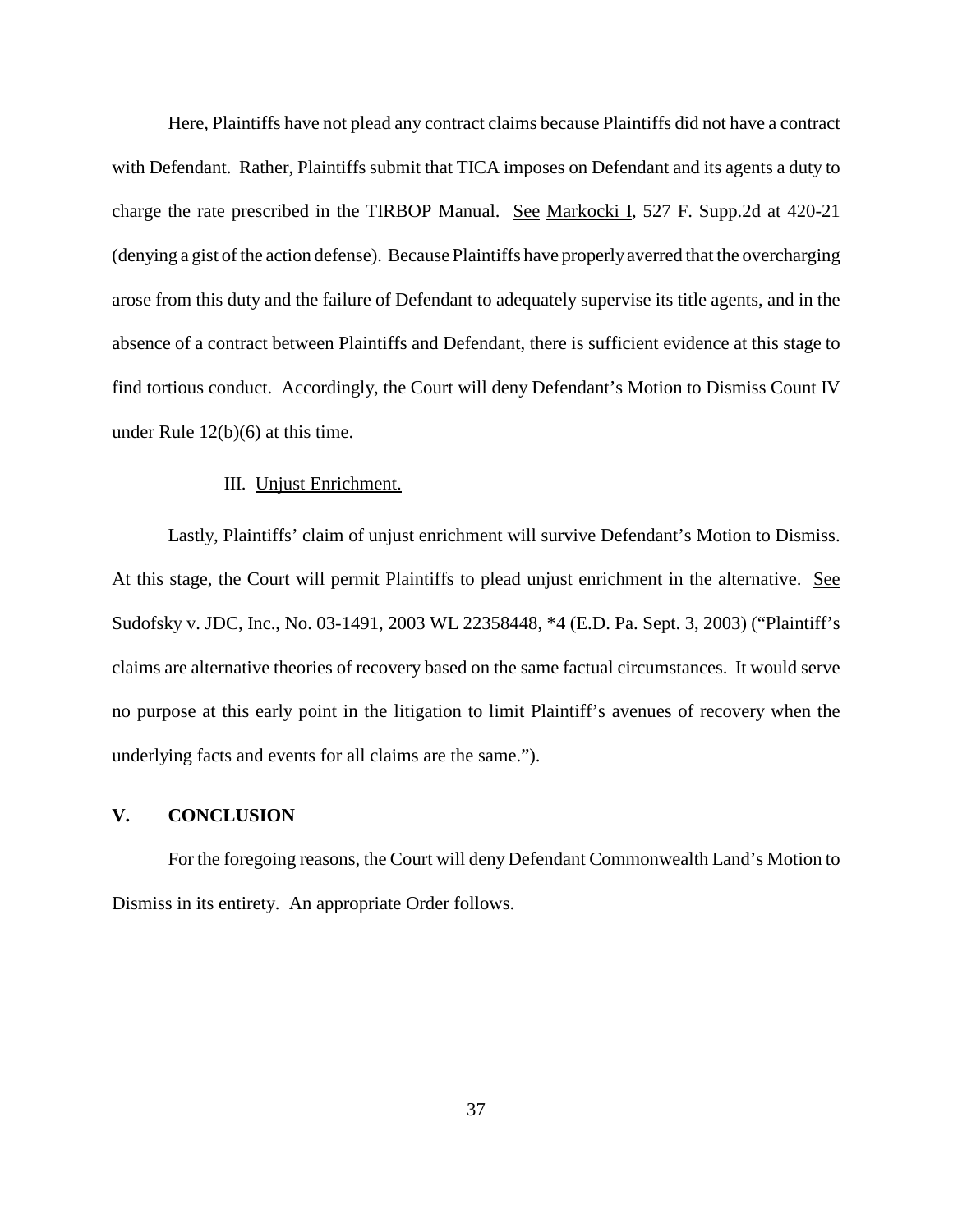Here, Plaintiffs have not plead any contract claims because Plaintiffs did not have a contract with Defendant. Rather, Plaintiffs submit that TICA imposes on Defendant and its agents a duty to charge the rate prescribed in the TIRBOP Manual. See Markocki I, 527 F. Supp.2d at 420-21 (denying a gist of the action defense). Because Plaintiffs have properly averred that the overcharging arose from this duty and the failure of Defendant to adequately supervise its title agents, and in the absence of a contract between Plaintiffs and Defendant, there is sufficient evidence at this stage to find tortious conduct. Accordingly, the Court will deny Defendant's Motion to Dismiss Count IV under Rule 12(b)(6) at this time.

### III. Unjust Enrichment.

Lastly, Plaintiffs' claim of unjust enrichment will survive Defendant's Motion to Dismiss. At this stage, the Court will permit Plaintiffs to plead unjust enrichment in the alternative. See Sudofsky v. JDC, Inc., No. 03-1491, 2003 WL 22358448, \*4 (E.D. Pa. Sept. 3, 2003) ("Plaintiff's claims are alternative theories of recovery based on the same factual circumstances. It would serve no purpose at this early point in the litigation to limit Plaintiff's avenues of recovery when the underlying facts and events for all claims are the same.").

### **V. CONCLUSION**

For the foregoing reasons, the Court will deny Defendant Commonwealth Land's Motion to Dismiss in its entirety. An appropriate Order follows.